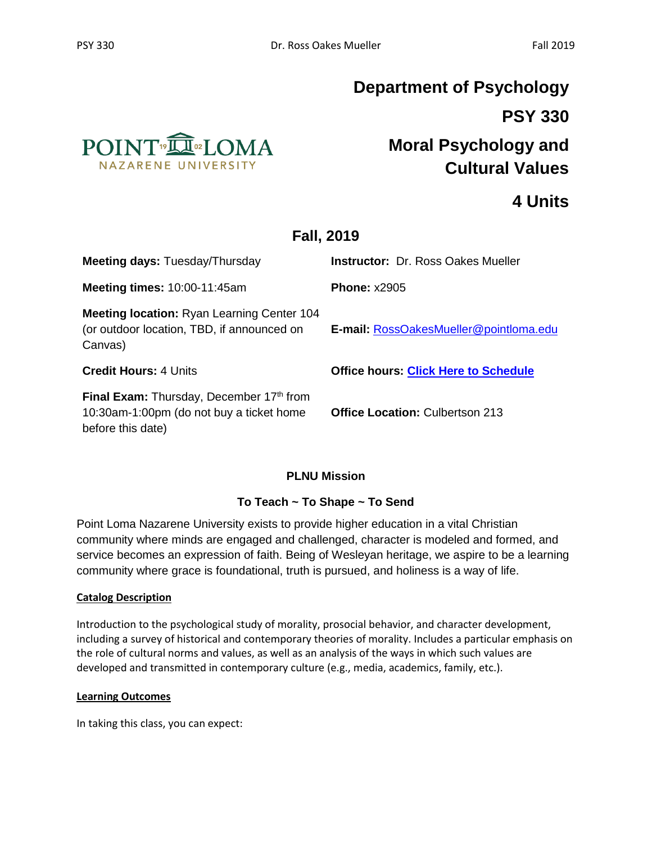

## **Department of Psychology PSY 330**

## **Moral Psychology and Cultural Values**

## **4 Units**

## **Fall, 2019**

| <b>Meeting days: Tuesday/Thursday</b>                                                                      | <b>Instructor: Dr. Ross Oakes Mueller</b>   |
|------------------------------------------------------------------------------------------------------------|---------------------------------------------|
| <b>Meeting times: 10:00-11:45am</b>                                                                        | <b>Phone: x2905</b>                         |
| <b>Meeting location: Ryan Learning Center 104</b><br>(or outdoor location, TBD, if announced on<br>Canvas) | E-mail: RossOakesMueller@pointloma.edu      |
| <b>Credit Hours: 4 Units</b>                                                                               | <b>Office hours: Click Here to Schedule</b> |
| Final Exam: Thursday, December 17th from<br>10:30am-1:00pm (do not buy a ticket home<br>before this date)  | <b>Office Location: Culbertson 213</b>      |

#### **PLNU Mission**

#### **To Teach ~ To Shape ~ To Send**

Point Loma Nazarene University exists to provide higher education in a vital Christian community where minds are engaged and challenged, character is modeled and formed, and service becomes an expression of faith. Being of Wesleyan heritage, we aspire to be a learning community where grace is foundational, truth is pursued, and holiness is a way of life.

#### **Catalog Description**

Introduction to the psychological study of morality, prosocial behavior, and character development, including a survey of historical and contemporary theories of morality. Includes a particular emphasis on the role of cultural norms and values, as well as an analysis of the ways in which such values are developed and transmitted in contemporary culture (e.g., media, academics, family, etc.).

#### **Learning Outcomes**

In taking this class, you can expect: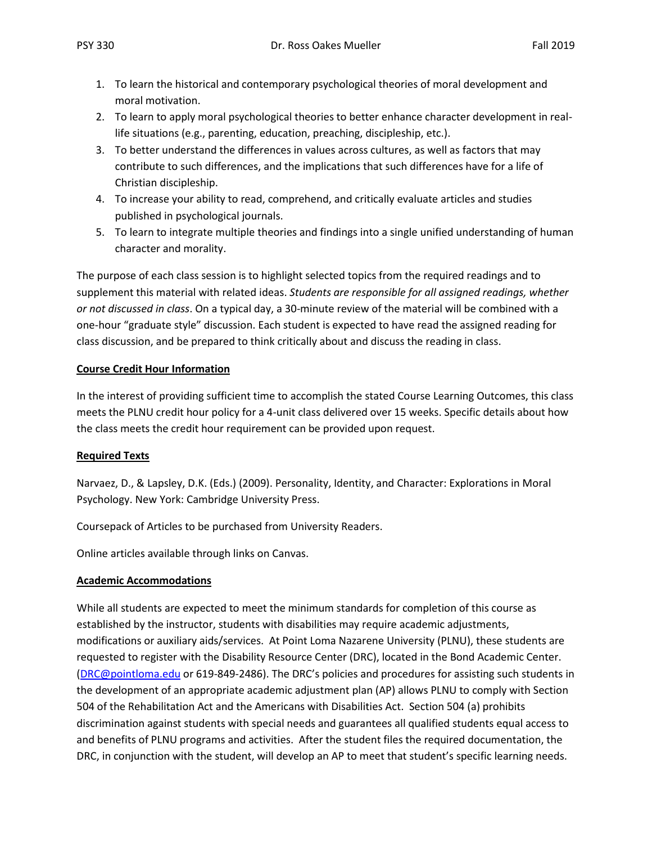- 1. To learn the historical and contemporary psychological theories of moral development and moral motivation.
- 2. To learn to apply moral psychological theories to better enhance character development in reallife situations (e.g., parenting, education, preaching, discipleship, etc.).
- 3. To better understand the differences in values across cultures, as well as factors that may contribute to such differences, and the implications that such differences have for a life of Christian discipleship.
- 4. To increase your ability to read, comprehend, and critically evaluate articles and studies published in psychological journals.
- 5. To learn to integrate multiple theories and findings into a single unified understanding of human character and morality.

The purpose of each class session is to highlight selected topics from the required readings and to supplement this material with related ideas. *Students are responsible for all assigned readings, whether or not discussed in class*. On a typical day, a 30-minute review of the material will be combined with a one-hour "graduate style" discussion. Each student is expected to have read the assigned reading for class discussion, and be prepared to think critically about and discuss the reading in class.

#### **Course Credit Hour Information**

In the interest of providing sufficient time to accomplish the stated Course Learning Outcomes, this class meets the PLNU credit hour policy for a 4-unit class delivered over 15 weeks. Specific details about how the class meets the credit hour requirement can be provided upon request.

#### **Required Texts**

Narvaez, D., & Lapsley, D.K. (Eds.) (2009). Personality, Identity, and Character: Explorations in Moral Psychology. New York: Cambridge University Press.

Coursepack of Articles to be purchased from University Readers.

Online articles available through links on Canvas.

#### **Academic Accommodations**

While all students are expected to meet the minimum standards for completion of this course as established by the instructor, students with disabilities may require academic adjustments, modifications or auxiliary aids/services. At Point Loma Nazarene University (PLNU), these students are requested to register with the Disability Resource Center (DRC), located in the Bond Academic Center. [\(DRC@pointloma.edu](mailto:DRC@pointloma.edu) or 619-849-2486). The DRC's policies and procedures for assisting such students in the development of an appropriate academic adjustment plan (AP) allows PLNU to comply with Section 504 of the Rehabilitation Act and the Americans with Disabilities Act. Section 504 (a) prohibits discrimination against students with special needs and guarantees all qualified students equal access to and benefits of PLNU programs and activities. After the student files the required documentation, the DRC, in conjunction with the student, will develop an AP to meet that student's specific learning needs.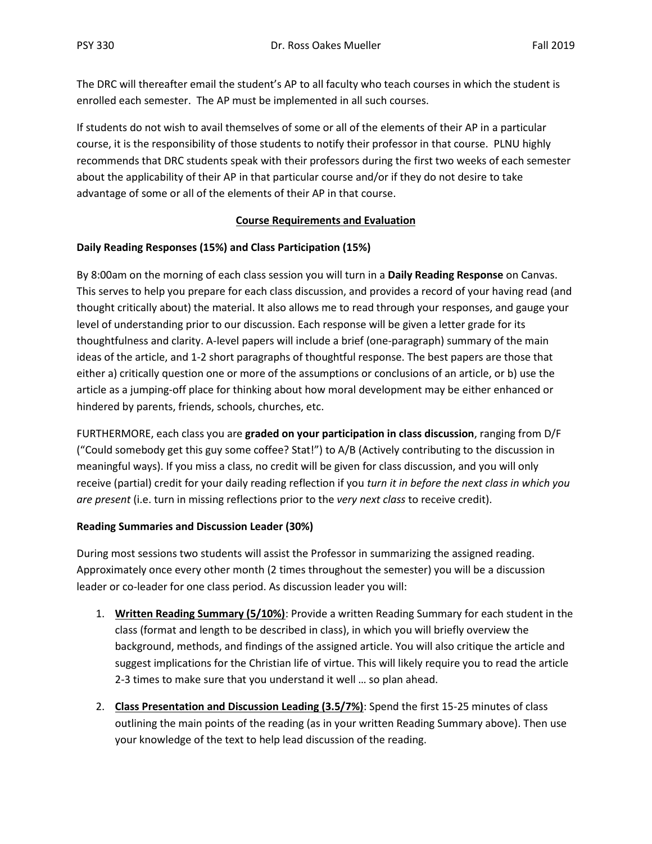The DRC will thereafter email the student's AP to all faculty who teach courses in which the student is enrolled each semester. The AP must be implemented in all such courses.

If students do not wish to avail themselves of some or all of the elements of their AP in a particular course, it is the responsibility of those students to notify their professor in that course. PLNU highly recommends that DRC students speak with their professors during the first two weeks of each semester about the applicability of their AP in that particular course and/or if they do not desire to take advantage of some or all of the elements of their AP in that course.

#### **Course Requirements and Evaluation**

#### **Daily Reading Responses (15%) and Class Participation (15%)**

By 8:00am on the morning of each class session you will turn in a **Daily Reading Response** on Canvas. This serves to help you prepare for each class discussion, and provides a record of your having read (and thought critically about) the material. It also allows me to read through your responses, and gauge your level of understanding prior to our discussion. Each response will be given a letter grade for its thoughtfulness and clarity. A-level papers will include a brief (one-paragraph) summary of the main ideas of the article, and 1-2 short paragraphs of thoughtful response. The best papers are those that either a) critically question one or more of the assumptions or conclusions of an article, or b) use the article as a jumping-off place for thinking about how moral development may be either enhanced or hindered by parents, friends, schools, churches, etc.

FURTHERMORE, each class you are **graded on your participation in class discussion**, ranging from D/F ("Could somebody get this guy some coffee? Stat!") to A/B (Actively contributing to the discussion in meaningful ways). If you miss a class, no credit will be given for class discussion, and you will only receive (partial) credit for your daily reading reflection if you *turn it in before the next class in which you are present* (i.e. turn in missing reflections prior to the *very next class* to receive credit).

#### **Reading Summaries and Discussion Leader (30%)**

During most sessions two students will assist the Professor in summarizing the assigned reading. Approximately once every other month (2 times throughout the semester) you will be a discussion leader or co-leader for one class period. As discussion leader you will:

- 1. **Written Reading Summary (5/10%)**: Provide a written Reading Summary for each student in the class (format and length to be described in class), in which you will briefly overview the background, methods, and findings of the assigned article. You will also critique the article and suggest implications for the Christian life of virtue. This will likely require you to read the article 2-3 times to make sure that you understand it well … so plan ahead.
- 2. **Class Presentation and Discussion Leading (3.5/7%)**: Spend the first 15-25 minutes of class outlining the main points of the reading (as in your written Reading Summary above). Then use your knowledge of the text to help lead discussion of the reading.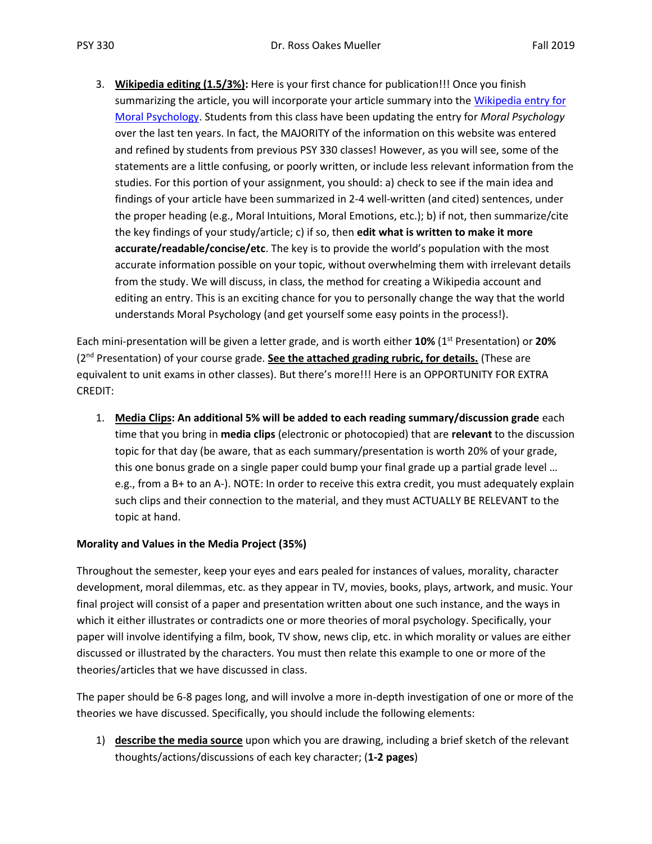3. **Wikipedia editing (1.5/3%):** Here is your first chance for publication!!! Once you finish summarizing the article, you will incorporate your article summary into the [Wikipedia entry for](https://en.wikipedia.org/wiki/Moral_psychology)  [Moral Psychology.](https://en.wikipedia.org/wiki/Moral_psychology) Students from this class have been updating the entry for *Moral Psychology* over the last ten years. In fact, the MAJORITY of the information on this website was entered and refined by students from previous PSY 330 classes! However, as you will see, some of the statements are a little confusing, or poorly written, or include less relevant information from the studies. For this portion of your assignment, you should: a) check to see if the main idea and findings of your article have been summarized in 2-4 well-written (and cited) sentences, under the proper heading (e.g., Moral Intuitions, Moral Emotions, etc.); b) if not, then summarize/cite the key findings of your study/article; c) if so, then **edit what is written to make it more accurate/readable/concise/etc**. The key is to provide the world's population with the most accurate information possible on your topic, without overwhelming them with irrelevant details from the study. We will discuss, in class, the method for creating a Wikipedia account and editing an entry. This is an exciting chance for you to personally change the way that the world understands Moral Psychology (and get yourself some easy points in the process!).

Each mini-presentation will be given a letter grade, and is worth either **10%** (1st Presentation) or **20%** (2nd Presentation) of your course grade. **See the attached grading rubric, for details.** (These are equivalent to unit exams in other classes). But there's more!!! Here is an OPPORTUNITY FOR EXTRA CREDIT:

1. **Media Clips: An additional 5% will be added to each reading summary/discussion grade** each time that you bring in **media clips** (electronic or photocopied) that are **relevant** to the discussion topic for that day (be aware, that as each summary/presentation is worth 20% of your grade, this one bonus grade on a single paper could bump your final grade up a partial grade level … e.g., from a B+ to an A-). NOTE: In order to receive this extra credit, you must adequately explain such clips and their connection to the material, and they must ACTUALLY BE RELEVANT to the topic at hand.

#### **Morality and Values in the Media Project (35%)**

Throughout the semester, keep your eyes and ears pealed for instances of values, morality, character development, moral dilemmas, etc. as they appear in TV, movies, books, plays, artwork, and music. Your final project will consist of a paper and presentation written about one such instance, and the ways in which it either illustrates or contradicts one or more theories of moral psychology. Specifically, your paper will involve identifying a film, book, TV show, news clip, etc. in which morality or values are either discussed or illustrated by the characters. You must then relate this example to one or more of the theories/articles that we have discussed in class.

The paper should be 6-8 pages long, and will involve a more in-depth investigation of one or more of the theories we have discussed. Specifically, you should include the following elements:

1) **describe the media source** upon which you are drawing, including a brief sketch of the relevant thoughts/actions/discussions of each key character; (**1-2 pages**)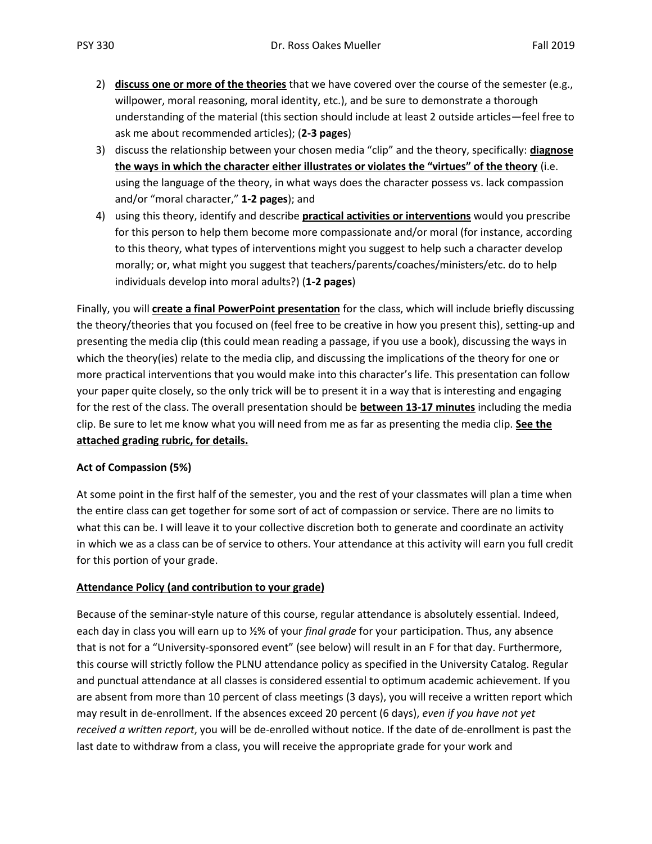- 2) **discuss one or more of the theories** that we have covered over the course of the semester (e.g., willpower, moral reasoning, moral identity, etc.), and be sure to demonstrate a thorough understanding of the material (this section should include at least 2 outside articles—feel free to ask me about recommended articles); (**2-3 pages**)
- 3) discuss the relationship between your chosen media "clip" and the theory, specifically: **diagnose the ways in which the character either illustrates or violates the "virtues" of the theory** (i.e. using the language of the theory, in what ways does the character possess vs. lack compassion and/or "moral character," **1-2 pages**); and
- 4) using this theory, identify and describe **practical activities or interventions** would you prescribe for this person to help them become more compassionate and/or moral (for instance, according to this theory, what types of interventions might you suggest to help such a character develop morally; or, what might you suggest that teachers/parents/coaches/ministers/etc. do to help individuals develop into moral adults?) (**1-2 pages**)

Finally, you will **create a final PowerPoint presentation** for the class, which will include briefly discussing the theory/theories that you focused on (feel free to be creative in how you present this), setting-up and presenting the media clip (this could mean reading a passage, if you use a book), discussing the ways in which the theory(ies) relate to the media clip, and discussing the implications of the theory for one or more practical interventions that you would make into this character's life. This presentation can follow your paper quite closely, so the only trick will be to present it in a way that is interesting and engaging for the rest of the class. The overall presentation should be **between 13-17 minutes** including the media clip. Be sure to let me know what you will need from me as far as presenting the media clip. **See the attached grading rubric, for details.**

#### **Act of Compassion (5%)**

At some point in the first half of the semester, you and the rest of your classmates will plan a time when the entire class can get together for some sort of act of compassion or service. There are no limits to what this can be. I will leave it to your collective discretion both to generate and coordinate an activity in which we as a class can be of service to others. Your attendance at this activity will earn you full credit for this portion of your grade.

#### **Attendance Policy (and contribution to your grade)**

Because of the seminar-style nature of this course, regular attendance is absolutely essential. Indeed, each day in class you will earn up to ½% of your *final grade* for your participation. Thus, any absence that is not for a "University-sponsored event" (see below) will result in an F for that day. Furthermore, this course will strictly follow the PLNU attendance policy as specified in the University Catalog. Regular and punctual attendance at all classes is considered essential to optimum academic achievement. If you are absent from more than 10 percent of class meetings (3 days), you will receive a written report which may result in de-enrollment. If the absences exceed 20 percent (6 days), *even if you have not yet received a written report*, you will be de-enrolled without notice. If the date of de-enrollment is past the last date to withdraw from a class, you will receive the appropriate grade for your work and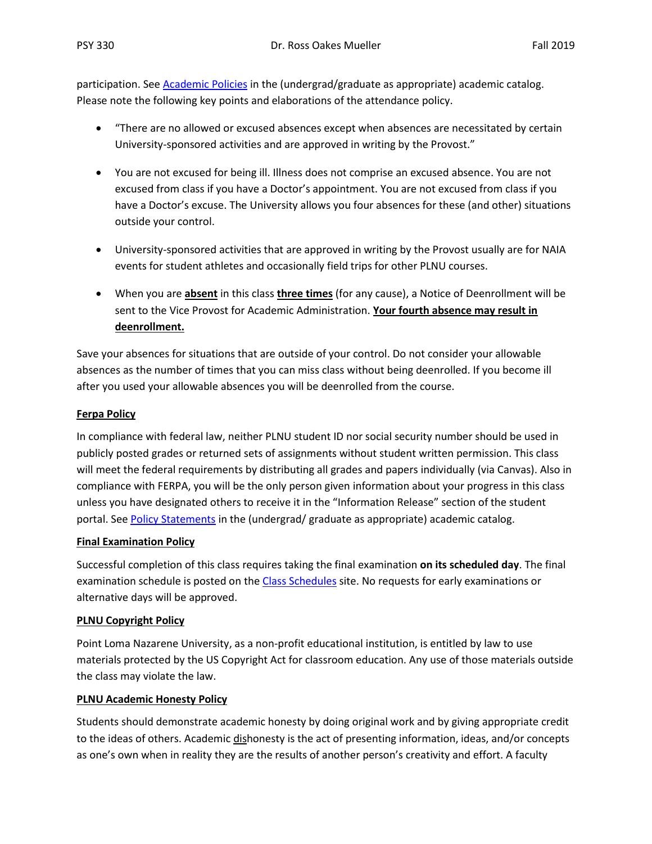participation. See [Academic Policies](http://catalog.pointloma.edu/content.php?catoid=18&navoid=1278) in the (undergrad/graduate as appropriate) academic catalog. Please note the following key points and elaborations of the attendance policy.

- "There are no allowed or excused absences except when absences are necessitated by certain University-sponsored activities and are approved in writing by the Provost."
- You are not excused for being ill. Illness does not comprise an excused absence. You are not excused from class if you have a Doctor's appointment. You are not excused from class if you have a Doctor's excuse. The University allows you four absences for these (and other) situations outside your control.
- University-sponsored activities that are approved in writing by the Provost usually are for NAIA events for student athletes and occasionally field trips for other PLNU courses.
- When you are **absent** in this class **three times** (for any cause), a Notice of Deenrollment will be sent to the Vice Provost for Academic Administration. **Your fourth absence may result in deenrollment.**

Save your absences for situations that are outside of your control. Do not consider your allowable absences as the number of times that you can miss class without being deenrolled. If you become ill after you used your allowable absences you will be deenrolled from the course.

#### **Ferpa Policy**

In compliance with federal law, neither PLNU student ID nor social security number should be used in publicly posted grades or returned sets of assignments without student written permission. This class will meet the federal requirements by distributing all grades and papers individually (via Canvas). Also in compliance with FERPA, you will be the only person given information about your progress in this class unless you have designated others to receive it in the "Information Release" section of the student portal. Se[e Policy Statements](http://www.pointloma.edu/experience/academics/catalogs/undergraduate-catalog/policy-statements) in the (undergrad/ graduate as appropriate) academic catalog.

#### **Final Examination Policy**

Successful completion of this class requires taking the final examination **on its scheduled day**. The final examination schedule is posted on th[e Class Schedules](http://www.pointloma.edu/experience/academics/class-schedules) site. No requests for early examinations or alternative days will be approved.

#### **PLNU Copyright Policy**

Point Loma Nazarene University, as a non-profit educational institution, is entitled by law to use materials protected by the US Copyright Act for classroom education. Any use of those materials outside the class may violate the law.

#### **PLNU Academic Honesty Policy**

Students should demonstrate academic honesty by doing original work and by giving appropriate credit to the ideas of others. Academic dishonesty is the act of presenting information, ideas, and/or concepts as one's own when in reality they are the results of another person's creativity and effort. A faculty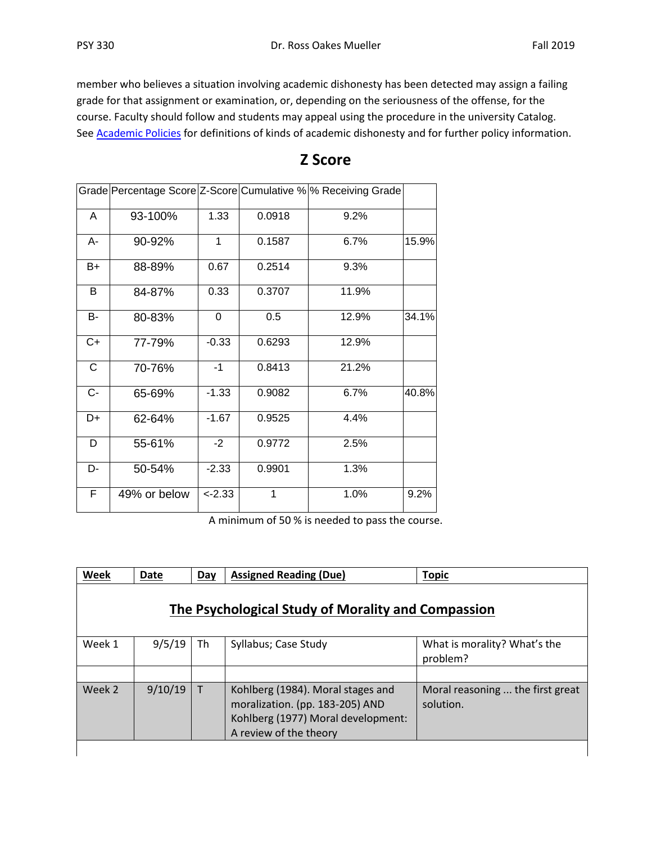member who believes a situation involving academic dishonesty has been detected may assign a failing grade for that assignment or examination, or, depending on the seriousness of the offense, for the course. Faculty should follow and students may appeal using the procedure in the university Catalog. See **Academic Policies** for definitions of kinds of academic dishonesty and for further policy information.

|       |              |           |        | Grade Percentage Score Z-Score Cumulative % % Receiving Grade |       |
|-------|--------------|-----------|--------|---------------------------------------------------------------|-------|
| A     | 93-100%      | 1.33      | 0.0918 | 9.2%                                                          |       |
| A-    | 90-92%       | 1         | 0.1587 | 6.7%                                                          | 15.9% |
| B+    | 88-89%       | 0.67      | 0.2514 | 9.3%                                                          |       |
| B     | 84-87%       | 0.33      | 0.3707 | 11.9%                                                         |       |
| В-    | 80-83%       | 0         | 0.5    | 12.9%                                                         | 34.1% |
| C+    | 77-79%       | $-0.33$   | 0.6293 | 12.9%                                                         |       |
| C     | 70-76%       | $-1$      | 0.8413 | 21.2%                                                         |       |
| $C -$ | 65-69%       | $-1.33$   | 0.9082 | 6.7%                                                          | 40.8% |
| D+    | 62-64%       | $-1.67$   | 0.9525 | 4.4%                                                          |       |
| D     | 55-61%       | $-2$      | 0.9772 | 2.5%                                                          |       |
| D-    | 50-54%       | $-2.33$   | 0.9901 | 1.3%                                                          |       |
| F     | 49% or below | $< -2.33$ | 1      | 1.0%                                                          | 9.2%  |

## **Z Score**

A minimum of 50 % is needed to pass the course.

| Week                                               | <b>Date</b> | Day          | <b>Assigned Reading (Due)</b>                                                                                                        | <b>Topic</b>                                  |  |  |  |  |  |  |  |  |
|----------------------------------------------------|-------------|--------------|--------------------------------------------------------------------------------------------------------------------------------------|-----------------------------------------------|--|--|--|--|--|--|--|--|
| The Psychological Study of Morality and Compassion |             |              |                                                                                                                                      |                                               |  |  |  |  |  |  |  |  |
| Week 1                                             | 9/5/19      | Th           | Syllabus; Case Study                                                                                                                 | What is morality? What's the<br>problem?      |  |  |  |  |  |  |  |  |
|                                                    |             |              |                                                                                                                                      |                                               |  |  |  |  |  |  |  |  |
| Week 2                                             | 9/10/19     | $\mathsf{T}$ | Kohlberg (1984). Moral stages and<br>moralization. (pp. 183-205) AND<br>Kohlberg (1977) Moral development:<br>A review of the theory | Moral reasoning  the first great<br>solution. |  |  |  |  |  |  |  |  |
|                                                    |             |              |                                                                                                                                      |                                               |  |  |  |  |  |  |  |  |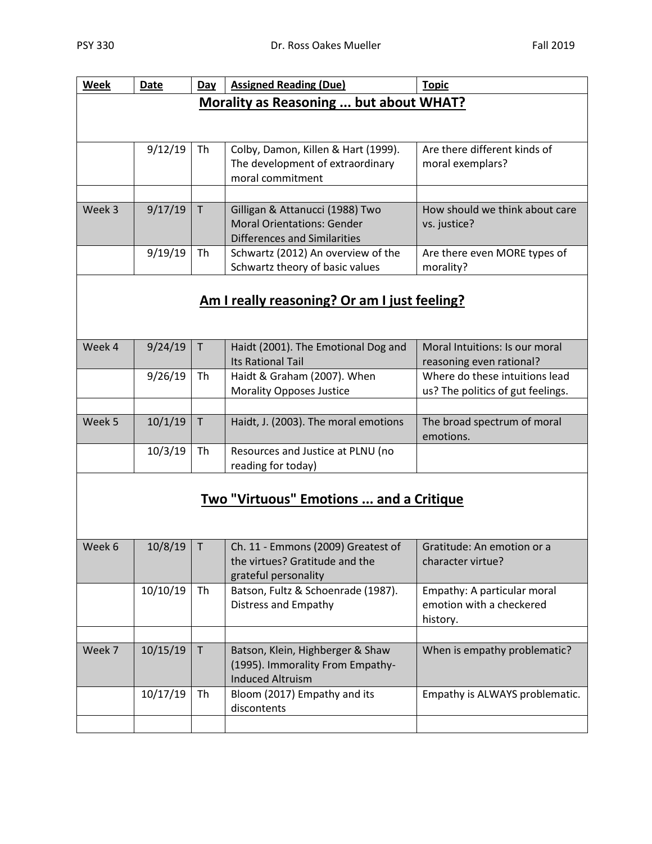| Week   | Date    | <b>Day</b> | <b>Topic</b>                                 |                                   |  |  |  |  |  |  |  |
|--------|---------|------------|----------------------------------------------|-----------------------------------|--|--|--|--|--|--|--|
|        |         |            | Morality as Reasoning  but about WHAT?       |                                   |  |  |  |  |  |  |  |
|        |         |            |                                              |                                   |  |  |  |  |  |  |  |
|        |         |            |                                              |                                   |  |  |  |  |  |  |  |
|        | 9/12/19 | Th         | Colby, Damon, Killen & Hart (1999).          | Are there different kinds of      |  |  |  |  |  |  |  |
|        |         |            | The development of extraordinary             | moral exemplars?                  |  |  |  |  |  |  |  |
|        |         |            | moral commitment                             |                                   |  |  |  |  |  |  |  |
|        |         |            |                                              |                                   |  |  |  |  |  |  |  |
| Week 3 | 9/17/19 | T          | Gilligan & Attanucci (1988) Two              | How should we think about care    |  |  |  |  |  |  |  |
|        |         |            | <b>Moral Orientations: Gender</b>            | vs. justice?                      |  |  |  |  |  |  |  |
|        |         |            | Differences and Similarities                 |                                   |  |  |  |  |  |  |  |
|        | 9/19/19 | Th         | Schwartz (2012) An overview of the           | Are there even MORE types of      |  |  |  |  |  |  |  |
|        |         |            | Schwartz theory of basic values              | morality?                         |  |  |  |  |  |  |  |
|        |         |            |                                              |                                   |  |  |  |  |  |  |  |
|        |         |            | Am I really reasoning? Or am I just feeling? |                                   |  |  |  |  |  |  |  |
|        |         |            |                                              |                                   |  |  |  |  |  |  |  |
|        |         |            |                                              |                                   |  |  |  |  |  |  |  |
| Week 4 | 9/24/19 | T.         | Haidt (2001). The Emotional Dog and          | Moral Intuitions: Is our moral    |  |  |  |  |  |  |  |
|        |         |            | <b>Its Rational Tail</b>                     | reasoning even rational?          |  |  |  |  |  |  |  |
|        | 9/26/19 | Th         | Haidt & Graham (2007). When                  | Where do these intuitions lead    |  |  |  |  |  |  |  |
|        |         |            | <b>Morality Opposes Justice</b>              | us? The politics of gut feelings. |  |  |  |  |  |  |  |

|        | 9/26/19 | -I h | Haidt & Graham (2007). When<br><b>Morality Opposes Justice</b> | Where do these intuitions lead<br>us? The politics of gut feelings. |
|--------|---------|------|----------------------------------------------------------------|---------------------------------------------------------------------|
|        |         |      |                                                                |                                                                     |
| Week 5 | 10/1/19 |      | Haidt, J. (2003). The moral emotions                           | The broad spectrum of moral<br>emotions.                            |
|        | 10/3/19 | Th   | Resources and Justice at PLNU (no<br>reading for today)        |                                                                     |

## **Two "Virtuous" Emotions ... and a Critique**

| Week 6 | 10/8/19  |    | Ch. 11 - Emmons (2009) Greatest of | Gratitude: An emotion or a     |
|--------|----------|----|------------------------------------|--------------------------------|
|        |          |    | the virtues? Gratitude and the     | character virtue?              |
|        |          |    | grateful personality               |                                |
|        | 10/10/19 | Th | Batson, Fultz & Schoenrade (1987). | Empathy: A particular moral    |
|        |          |    | Distress and Empathy               | emotion with a checkered       |
|        |          |    |                                    | history.                       |
|        |          |    |                                    |                                |
| Week 7 | 10/15/19 | T  | Batson, Klein, Highberger & Shaw   | When is empathy problematic?   |
|        |          |    | (1995). Immorality From Empathy-   |                                |
|        |          |    | Induced Altruism                   |                                |
|        | 10/17/19 | Th | Bloom (2017) Empathy and its       | Empathy is ALWAYS problematic. |
|        |          |    | discontents                        |                                |
|        |          |    |                                    |                                |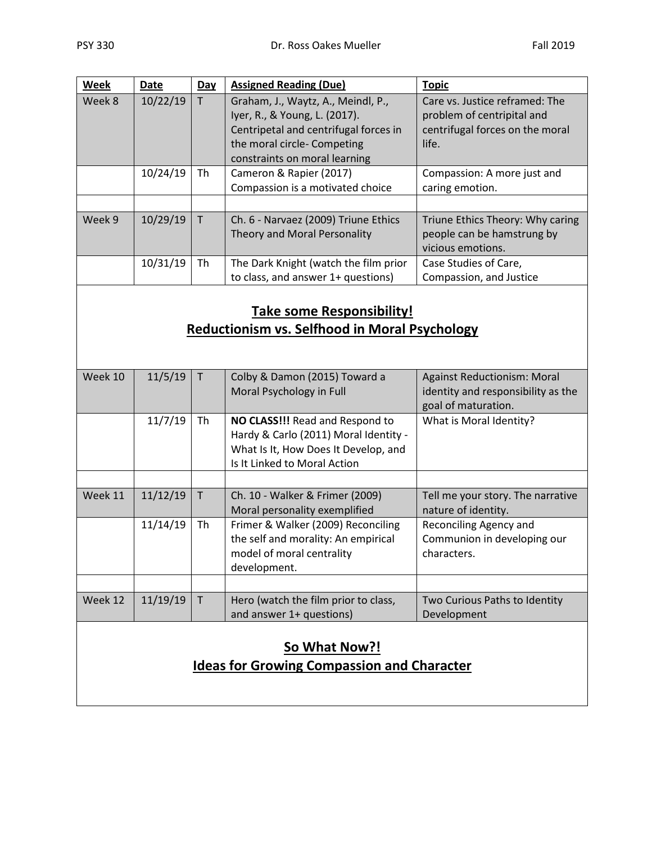| Week   | <b>Date</b> | Day | <b>Assigned Reading (Due)</b>         | <b>Topic</b>                     |
|--------|-------------|-----|---------------------------------------|----------------------------------|
| Week 8 | 10/22/19    |     | Graham, J., Waytz, A., Meindl, P.,    | Care vs. Justice reframed: The   |
|        |             |     | Iyer, R., & Young, L. (2017).         | problem of centripital and       |
|        |             |     | Centripetal and centrifugal forces in | centrifugal forces on the moral  |
|        |             |     | the moral circle- Competing           | life.                            |
|        |             |     | constraints on moral learning         |                                  |
|        | 10/24/19    | Th  | Cameron & Rapier (2017)               | Compassion: A more just and      |
|        |             |     | Compassion is a motivated choice      | caring emotion.                  |
|        |             |     |                                       |                                  |
| Week 9 | 10/29/19    | T.  | Ch. 6 - Narvaez (2009) Triune Ethics  | Triune Ethics Theory: Why caring |
|        |             |     | Theory and Moral Personality          | people can be hamstrung by       |
|        |             |     |                                       | vicious emotions.                |
|        | 10/31/19    | Th  | The Dark Knight (watch the film prior | Case Studies of Care,            |
|        |             |     | to class, and answer 1+ questions)    | Compassion, and Justice          |

## **Take some Responsibility! Reductionism vs. Selfhood in Moral Psychology**

| Week 10              | 11/5/19  | T  | Colby & Damon (2015) Toward a<br>Moral Psychology in Full                                                                                        | <b>Against Reductionism: Moral</b><br>identity and responsibility as the<br>goal of maturation. |  |  |  |  |  |  |
|----------------------|----------|----|--------------------------------------------------------------------------------------------------------------------------------------------------|-------------------------------------------------------------------------------------------------|--|--|--|--|--|--|
|                      | 11/7/19  | Th | NO CLASS!!! Read and Respond to<br>Hardy & Carlo (2011) Moral Identity -<br>What Is It, How Does It Develop, and<br>Is It Linked to Moral Action | What is Moral Identity?                                                                         |  |  |  |  |  |  |
|                      |          |    |                                                                                                                                                  |                                                                                                 |  |  |  |  |  |  |
| Week 11              | 11/12/19 | T. | Ch. 10 - Walker & Frimer (2009)<br>Moral personality exemplified                                                                                 | Tell me your story. The narrative<br>nature of identity.                                        |  |  |  |  |  |  |
|                      | 11/14/19 | Th | Frimer & Walker (2009) Reconciling<br>the self and morality: An empirical<br>model of moral centrality<br>development.                           | Reconciling Agency and<br>Communion in developing our<br>characters.                            |  |  |  |  |  |  |
|                      |          |    |                                                                                                                                                  |                                                                                                 |  |  |  |  |  |  |
| Week 12              | 11/19/19 | T. | Hero (watch the film prior to class,<br>and answer 1+ questions)                                                                                 | Two Curious Paths to Identity<br>Development                                                    |  |  |  |  |  |  |
| <b>So What Now?!</b> |          |    |                                                                                                                                                  |                                                                                                 |  |  |  |  |  |  |

# **Ideas for Growing Compassion and Character**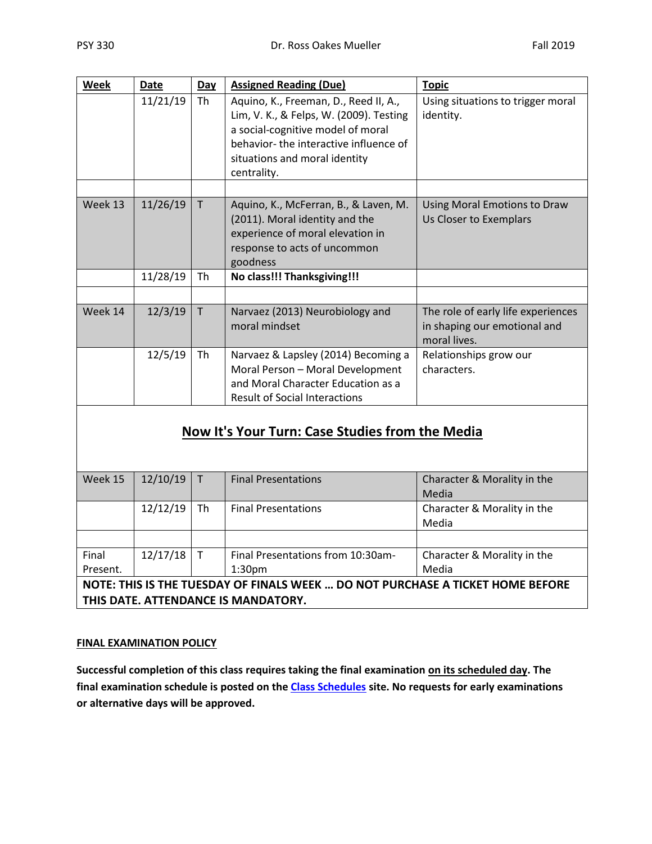| <b>Week</b>       | <b>Date</b>                                     | Day          | <b>Assigned Reading (Due)</b>                                                                                                                                                                                  | <b>Topic</b>                                                                       |  |  |  |  |  |  |  |
|-------------------|-------------------------------------------------|--------------|----------------------------------------------------------------------------------------------------------------------------------------------------------------------------------------------------------------|------------------------------------------------------------------------------------|--|--|--|--|--|--|--|
|                   | 11/21/19                                        | Th           | Aquino, K., Freeman, D., Reed II, A.,<br>Lim, V. K., & Felps, W. (2009). Testing<br>a social-cognitive model of moral<br>behavior-the interactive influence of<br>situations and moral identity<br>centrality. | Using situations to trigger moral<br>identity.                                     |  |  |  |  |  |  |  |
|                   |                                                 |              |                                                                                                                                                                                                                |                                                                                    |  |  |  |  |  |  |  |
| Week 13           | 11/26/19                                        | $\mathsf{T}$ | Aquino, K., McFerran, B., & Laven, M.<br>(2011). Moral identity and the<br>experience of moral elevation in<br>response to acts of uncommon<br>goodness                                                        | Using Moral Emotions to Draw<br>Us Closer to Exemplars                             |  |  |  |  |  |  |  |
|                   | 11/28/19                                        | Th           | No class!!! Thanksgiving!!!                                                                                                                                                                                    |                                                                                    |  |  |  |  |  |  |  |
|                   |                                                 |              |                                                                                                                                                                                                                |                                                                                    |  |  |  |  |  |  |  |
| Week 14           | 12/3/19                                         | T            | Narvaez (2013) Neurobiology and<br>moral mindset                                                                                                                                                               | The role of early life experiences<br>in shaping our emotional and<br>moral lives. |  |  |  |  |  |  |  |
|                   | 12/5/19                                         | Th           | Narvaez & Lapsley (2014) Becoming a<br>Moral Person - Moral Development<br>and Moral Character Education as a<br><b>Result of Social Interactions</b>                                                          | Relationships grow our<br>characters.                                              |  |  |  |  |  |  |  |
|                   | Now It's Your Turn: Case Studies from the Media |              |                                                                                                                                                                                                                |                                                                                    |  |  |  |  |  |  |  |
| Week 15           | 12/10/19                                        | $\mathsf T$  | <b>Final Presentations</b>                                                                                                                                                                                     | Character & Morality in the<br>Media                                               |  |  |  |  |  |  |  |
|                   | 12/12/19                                        | Th           | <b>Final Presentations</b>                                                                                                                                                                                     | Character & Morality in the<br>Media                                               |  |  |  |  |  |  |  |
|                   |                                                 |              |                                                                                                                                                                                                                |                                                                                    |  |  |  |  |  |  |  |
| Final<br>Present. | 12/17/18                                        | $\mathsf{T}$ | Final Presentations from 10:30am-<br>1:30pm                                                                                                                                                                    | Character & Morality in the<br>Media                                               |  |  |  |  |  |  |  |
|                   |                                                 |              | NOTE: THIS IS THE TUESDAY OF FINALS WEEK  DO NOT PURCHASE A TICKET HOME BEFORE                                                                                                                                 |                                                                                    |  |  |  |  |  |  |  |

#### **THIS DATE. ATTENDANCE IS MANDATORY.**

#### **FINAL EXAMINATION POLICY**

**Successful completion of this class requires taking the final examination on its scheduled day. The final examination schedule is posted on the [Class Schedules](http://www.pointloma.edu/experience/academics/class-schedules) site. No requests for early examinations or alternative days will be approved.**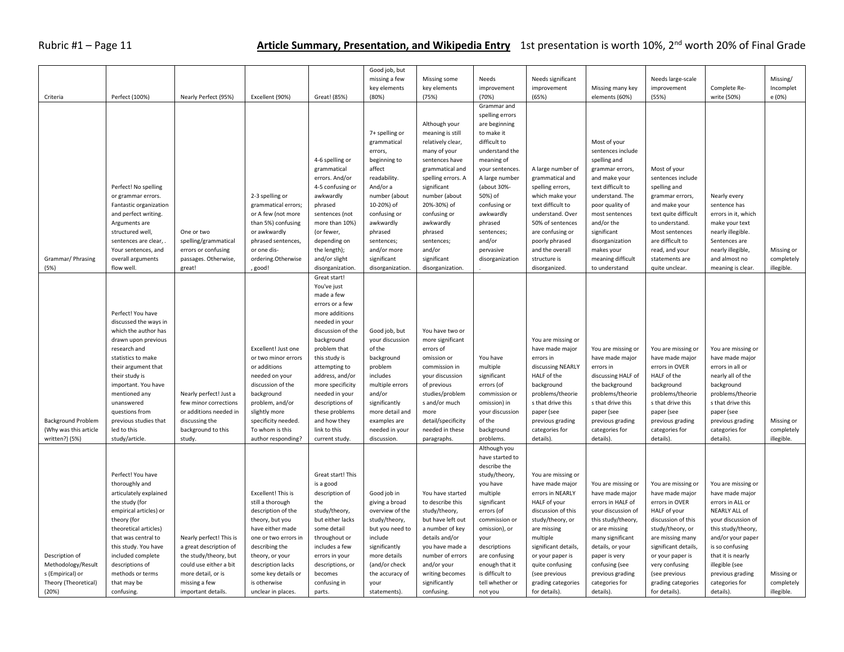## Rubric #1 – Page 11 **Article Summary, Presentation, and Wikipedia Entry** 1st presentation is worth 10%, 2<sup>nd</sup> worth 20% of Final Grade

| missing a few<br>Needs significant<br>Needs large-scale<br>Missing some<br>Needs<br>key elements<br>key elements<br>improvement<br>improvement<br>Missing many key<br>improvement<br>Complete Re-<br>Perfect (100%)<br>(80%)<br>(70%)<br>write (50%)<br>Criteria<br>Nearly Perfect (95%)<br>Excellent (90%)<br>Great! (85%)<br>(75%)<br>(65%)<br>elements (60%)<br>(55%) | Missing/<br>Incomplet<br>e (0%) |
|--------------------------------------------------------------------------------------------------------------------------------------------------------------------------------------------------------------------------------------------------------------------------------------------------------------------------------------------------------------------------|---------------------------------|
|                                                                                                                                                                                                                                                                                                                                                                          |                                 |
|                                                                                                                                                                                                                                                                                                                                                                          |                                 |
|                                                                                                                                                                                                                                                                                                                                                                          |                                 |
| Grammar and                                                                                                                                                                                                                                                                                                                                                              |                                 |
| spelling errors                                                                                                                                                                                                                                                                                                                                                          |                                 |
| Although your<br>are beginning                                                                                                                                                                                                                                                                                                                                           |                                 |
|                                                                                                                                                                                                                                                                                                                                                                          |                                 |
| 7+ spelling or<br>meaning is still<br>to make it                                                                                                                                                                                                                                                                                                                         |                                 |
| difficult to<br>Most of your<br>grammatical<br>relatively clear,                                                                                                                                                                                                                                                                                                         |                                 |
| many of your<br>understand the<br>sentences include<br>errors,                                                                                                                                                                                                                                                                                                           |                                 |
| 4-6 spelling or<br>beginning to<br>sentences have<br>meaning of<br>spelling and                                                                                                                                                                                                                                                                                          |                                 |
| affect<br>grammatical<br>grammatical and<br>your sentences.<br>A large number of<br>grammar errors,<br>Most of your                                                                                                                                                                                                                                                      |                                 |
| errors. And/or<br>readability.<br>spelling errors. A<br>A large number<br>grammatical and<br>and make your<br>sentences include                                                                                                                                                                                                                                          |                                 |
| Perfect! No spelling<br>4-5 confusing or<br>And/or a<br>significant<br>(about 30%-<br>spelling errors,<br>text difficult to<br>spelling and                                                                                                                                                                                                                              |                                 |
| or grammar errors.<br>2-3 spelling or<br>awkwardly<br>number (about<br>number (about<br>50%) of<br>which make your<br>understand. The<br>grammar errors,<br>Nearly every                                                                                                                                                                                                 |                                 |
| grammatical errors;<br>10-20%) of<br>20%-30%) of<br>text difficult to<br>Fantastic organization<br>phrased<br>confusing or<br>poor quality of<br>and make your<br>sentence has                                                                                                                                                                                           |                                 |
| or A few (not more<br>sentences (not<br>confusing or<br>confusing or<br>understand. Over<br>most sentences<br>text quite difficult<br>errors in it, which<br>and perfect writing.<br>awkwardly                                                                                                                                                                           |                                 |
| than 5%) confusing<br>more than 10%)<br>awkwardly<br>awkwardly<br>phrased<br>50% of sentences<br>and/or the<br>to understand.<br>make your text<br>Arguments are                                                                                                                                                                                                         |                                 |
| phrased<br>are confusing or<br>significant<br>Most sentences<br>structured well,<br>One or two<br>or awkwardly<br>(or fewer,<br>phrased<br>sentences;<br>nearly illegible.                                                                                                                                                                                               |                                 |
| poorly phrased<br>are difficult to<br>sentences are clear,<br>spelling/grammatical<br>phrased sentences,<br>depending on<br>sentences;<br>sentences;<br>and/or<br>disorganization<br>Sentences are                                                                                                                                                                       |                                 |
| errors or confusing<br>or one dis-<br>the length);<br>and/or more<br>and/or<br>and the overall<br>makes your<br>read, and your<br>nearly illegible,<br>Your sentences, and<br>pervasive                                                                                                                                                                                  | Missing or                      |
| Grammar/ Phrasing<br>overall arguments<br>passages. Otherwise,<br>ordering.Otherwise<br>and/or slight<br>significant<br>significant<br>disorganization<br>structure is<br>meaning difficult<br>statements are<br>and almost no                                                                                                                                           | completely                      |
| flow well.<br>to understand<br>(5%)<br>great!<br>, good!<br>disorganization<br>disorganization.<br>disorganization.<br>disorganized.<br>quite unclear.<br>meaning is clear.                                                                                                                                                                                              | illegible.                      |
|                                                                                                                                                                                                                                                                                                                                                                          |                                 |
| Great start!                                                                                                                                                                                                                                                                                                                                                             |                                 |
| You've just                                                                                                                                                                                                                                                                                                                                                              |                                 |
| made a few                                                                                                                                                                                                                                                                                                                                                               |                                 |
| errors or a few                                                                                                                                                                                                                                                                                                                                                          |                                 |
| Perfect! You have<br>more additions                                                                                                                                                                                                                                                                                                                                      |                                 |
| discussed the ways in<br>needed in your                                                                                                                                                                                                                                                                                                                                  |                                 |
| which the author has<br>discussion of the<br>Good job, but<br>You have two or                                                                                                                                                                                                                                                                                            |                                 |
| drawn upon previous<br>background<br>your discussion<br>more significant<br>You are missing or                                                                                                                                                                                                                                                                           |                                 |
| Excellent! Just one<br>problem that<br>of the<br>research and<br>errors of<br>have made major<br>You are missing or<br>You are missing or<br>You are missing or                                                                                                                                                                                                          |                                 |
| statistics to make<br>this study is<br>background<br>have made major<br>or two minor errors<br>omission or<br>You have<br>errors in<br>have made major<br>have made major                                                                                                                                                                                                |                                 |
| or additions<br>problem<br>multiple<br>discussing NEARLY<br>errors in<br>errors in OVER<br>errors in all or<br>their argument that<br>attempting to<br>commission in                                                                                                                                                                                                     |                                 |
| significant<br>HALF of the<br>HALF of the<br>nearly all of the<br>their study is<br>needed on your<br>includes<br>your discussion<br>discussing HALF of<br>address, and/or                                                                                                                                                                                               |                                 |
| discussion of the<br>multiple errors<br>errors (of<br>background<br>the background<br>background<br>important. You have<br>more specificity<br>of previous<br>background                                                                                                                                                                                                 |                                 |
| background<br>and/or<br>problems/theorie<br>mentioned any<br>Nearly perfect! Just a<br>needed in your<br>studies/problem<br>commission or<br>problems/theorie<br>problems/theorie<br>problems/theorie                                                                                                                                                                    |                                 |
| few minor corrections<br>problem, and/or<br>descriptions of<br>significantly<br>s and/or much<br>omission) in<br>s that drive this<br>s that drive this<br>s that drive this<br>s that drive this<br>unanswered                                                                                                                                                          |                                 |
| questions from<br>or additions needed in<br>slightly more<br>more detail and<br>your discussion<br>paper (see<br>paper (see<br>paper (see<br>paper (see<br>these problems<br>more                                                                                                                                                                                        |                                 |
| previous studies that<br><b>Background Problem</b><br>discussing the<br>specificity needed.<br>and how they<br>examples are<br>detail/specificity<br>of the<br>previous grading<br>previous grading<br>previous grading<br>previous grading                                                                                                                              | Missing or                      |
| (Why was this article<br>led to this<br>background to this<br>link to this<br>categories for<br>categories for<br>To whom is this<br>needed in your<br>needed in these<br>background<br>categories for<br>categories for                                                                                                                                                 | completely                      |
| written?) (5%)<br>study/article<br>author responding?<br>discussion.<br>paragraphs.<br>problems.<br>details).<br>details).<br>details).<br>details).<br>study.<br>current study.                                                                                                                                                                                         | illegible.                      |
| Although you                                                                                                                                                                                                                                                                                                                                                             |                                 |
| have started to                                                                                                                                                                                                                                                                                                                                                          |                                 |
|                                                                                                                                                                                                                                                                                                                                                                          |                                 |
| describe the                                                                                                                                                                                                                                                                                                                                                             |                                 |
| Perfect! You have<br>Great start! This<br>study/theory,<br>You are missing or                                                                                                                                                                                                                                                                                            |                                 |
| thoroughly and<br>is a good<br>you have<br>have made major<br>You are missing or<br>You are missing or<br>You are missing or                                                                                                                                                                                                                                             |                                 |
| errors in NEARLY<br>articulately explained<br>Excellent! This is<br>description of<br>Good job in<br>You have started<br>multiple<br>have made major<br>have made major<br>have made major                                                                                                                                                                               |                                 |
| still a thorough<br>the<br>giving a broad<br>to describe this<br>significant<br>HALF of your<br>errors in HALF of<br>errors in OVER<br>errors in ALL or<br>the study (for                                                                                                                                                                                                |                                 |
| empirical articles) or<br>description of the<br>overview of the<br>study/theory,<br>errors (of<br>discussion of this<br>your discussion of<br>HALF of your<br>NEARLY ALL of<br>study/theory,                                                                                                                                                                             |                                 |
| but either lacks<br>study/theory,<br>but have left out<br>commission or<br>this study/theory,<br>discussion of this<br>your discussion of<br>theory (for<br>theory, but you<br>study/theory, or                                                                                                                                                                          |                                 |
| theoretical articles)<br>have either made<br>some detail<br>but you need to<br>a number of key<br>omission), or<br>or are missing<br>study/theory, or<br>this study/theory,<br>are missing                                                                                                                                                                               |                                 |
| multiple<br>that was central to<br>Nearly perfect! This is<br>one or two errors in<br>throughout or<br>include<br>details and/or<br>many significant<br>are missing many<br>and/or your paper<br>your                                                                                                                                                                    |                                 |
| a great description of<br>describing the<br>significant details,<br>this study. You have<br>includes a few<br>significantly<br>you have made a<br>descriptions<br>details, or your<br>significant details,<br>is so confusing                                                                                                                                            |                                 |
| Description of<br>included complete<br>the study/theory, but<br>errors in your<br>more details<br>number of errors<br>are confusing<br>paper is very<br>that it is nearly<br>theory, or your<br>or your paper is<br>or your paper is                                                                                                                                     |                                 |
| Methodology/Result<br>descriptions of<br>could use either a bit<br>description lacks<br>descriptions, or<br>(and/or check<br>and/or your<br>enough that it<br>quite confusing<br>confusing (see<br>illegible (see<br>very confusing                                                                                                                                      |                                 |
| s (Empirical) or<br>is difficult to<br>methods or terms<br>more detail, or is<br>some key details or<br>becomes<br>the accuracy of<br>writing becomes<br>(see previous<br>(see previous<br>previous grading<br>previous grading                                                                                                                                          | Missing or                      |
| Theory (Theoretical)<br>confusing in<br>significantly<br>tell whether or<br>categories for<br>that may be<br>missing a few<br>is otherwise<br>your<br>grading categories<br>categories for<br>grading categories                                                                                                                                                         | completely                      |
| for details).<br>details).<br>for details).<br>details).<br>(20%)<br>confusing.<br>important details.<br>unclear in places.<br>parts.<br>statements).<br>confusing.<br>not you                                                                                                                                                                                           | illegible.                      |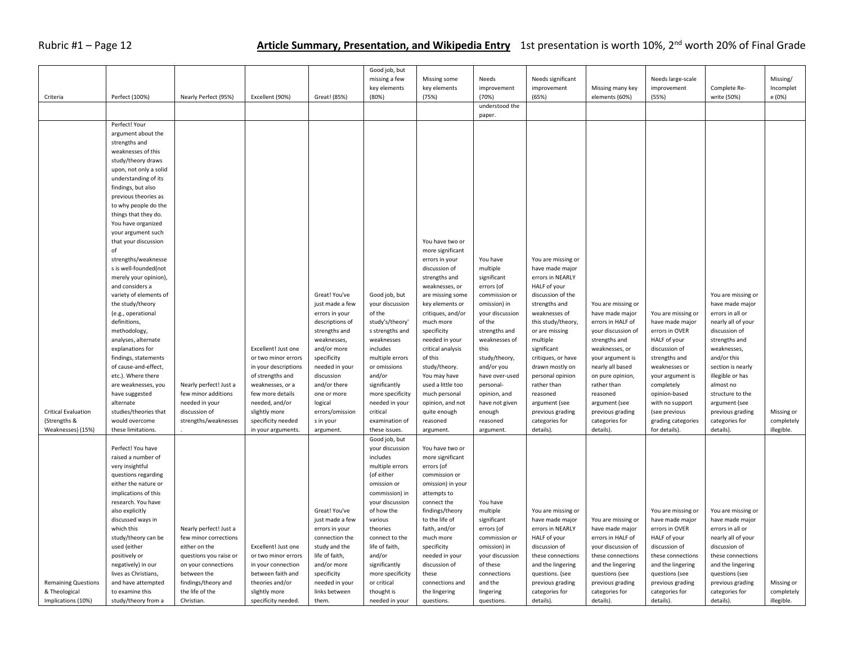## Rubric #1 – Page 12 **Article Summary, Presentation, and Wikipedia Entry** 1st presentation is worth 10%, 2<sup>nd</sup> worth 20% of Final Grade

|                                             |                                                |                                        |                                          |                                 | Good job, but<br>missing a few<br>key elements | Missing some<br>key elements     | Needs<br>improvement     | Needs significant<br>improvement    |                                    | Needs large-scale                   |                                    | Missing/<br>Incomplet    |
|---------------------------------------------|------------------------------------------------|----------------------------------------|------------------------------------------|---------------------------------|------------------------------------------------|----------------------------------|--------------------------|-------------------------------------|------------------------------------|-------------------------------------|------------------------------------|--------------------------|
| Criteria                                    | Perfect (100%)                                 | Nearly Perfect (95%)                   | Excellent (90%)                          | Great! (85%)                    | (80%)                                          | (75%)                            | (70%)                    | (65%)                               | Missing many key<br>elements (60%) | improvement<br>(55%)                | Complete Re-<br>write (50%)        | e (0%)                   |
|                                             |                                                |                                        |                                          |                                 |                                                |                                  | understood the<br>paper. |                                     |                                    |                                     |                                    |                          |
|                                             | Perfect! Your                                  |                                        |                                          |                                 |                                                |                                  |                          |                                     |                                    |                                     |                                    |                          |
|                                             | argument about the                             |                                        |                                          |                                 |                                                |                                  |                          |                                     |                                    |                                     |                                    |                          |
|                                             | strengths and                                  |                                        |                                          |                                 |                                                |                                  |                          |                                     |                                    |                                     |                                    |                          |
|                                             | weaknesses of this                             |                                        |                                          |                                 |                                                |                                  |                          |                                     |                                    |                                     |                                    |                          |
|                                             | study/theory draws                             |                                        |                                          |                                 |                                                |                                  |                          |                                     |                                    |                                     |                                    |                          |
|                                             | upon, not only a solid                         |                                        |                                          |                                 |                                                |                                  |                          |                                     |                                    |                                     |                                    |                          |
|                                             | understanding of its                           |                                        |                                          |                                 |                                                |                                  |                          |                                     |                                    |                                     |                                    |                          |
|                                             | findings, but also<br>previous theories as     |                                        |                                          |                                 |                                                |                                  |                          |                                     |                                    |                                     |                                    |                          |
|                                             | to why people do the                           |                                        |                                          |                                 |                                                |                                  |                          |                                     |                                    |                                     |                                    |                          |
|                                             | things that they do.                           |                                        |                                          |                                 |                                                |                                  |                          |                                     |                                    |                                     |                                    |                          |
|                                             | You have organized                             |                                        |                                          |                                 |                                                |                                  |                          |                                     |                                    |                                     |                                    |                          |
|                                             | your argument such                             |                                        |                                          |                                 |                                                |                                  |                          |                                     |                                    |                                     |                                    |                          |
|                                             | that your discussion                           |                                        |                                          |                                 |                                                | You have two or                  |                          |                                     |                                    |                                     |                                    |                          |
|                                             | of                                             |                                        |                                          |                                 |                                                | more significant                 |                          |                                     |                                    |                                     |                                    |                          |
|                                             | strengths/weaknesse                            |                                        |                                          |                                 |                                                | errors in your                   | You have                 | You are missing or                  |                                    |                                     |                                    |                          |
|                                             | s is well-founded(not<br>merely your opinion), |                                        |                                          |                                 |                                                | discussion of<br>strengths and   | multiple<br>significant  | have made major<br>errors in NEARLY |                                    |                                     |                                    |                          |
|                                             | and considers a                                |                                        |                                          |                                 |                                                | weaknesses, or                   | errors (of               | HALF of your                        |                                    |                                     |                                    |                          |
|                                             | variety of elements of                         |                                        |                                          | Great! You've                   | Good job, but                                  | are missing some                 | commission or            | discussion of the                   |                                    |                                     | You are missing or                 |                          |
|                                             | the study/theory                               |                                        |                                          | just made a few                 | your discussion                                | key elements or                  | omission) in             | strengths and                       | You are missing or                 |                                     | have made major                    |                          |
|                                             | (e.g., operational                             |                                        |                                          | errors in your                  | of the                                         | critiques, and/or                | your discussion          | weaknesses of                       | have made major                    | You are missing or                  | errors in all or                   |                          |
|                                             | definitions,                                   |                                        |                                          | descriptions of                 | study's/theory'                                | much more                        | of the                   | this study/theory,                  | errors in HALF of                  | have made major                     | nearly all of your                 |                          |
|                                             | methodology,                                   |                                        |                                          | strengths and                   | s strengths and                                | specificity                      | strengths and            | or are missing                      | your discussion of                 | errors in OVER                      | discussion of                      |                          |
|                                             | analyses, alternate                            |                                        | Excellent! Just one                      | weaknesses,                     | weaknesses                                     | needed in your                   | weaknesses of            | multiple<br>significant             | strengths and                      | HALF of your                        | strengths and                      |                          |
|                                             | explanations for<br>findings, statements       |                                        | or two minor errors                      | and/or more<br>specificity      | includes<br>multiple errors                    | critical analysis<br>of this     | this<br>study/theory,    | critiques, or have                  | weaknesses, or<br>your argument is | discussion of<br>strengths and      | weaknesses,<br>and/or this         |                          |
|                                             | of cause-and-effect,                           |                                        | in your descriptions                     | needed in your                  | or omissions                                   | study/theory.                    | and/or you               | drawn mostly on                     | nearly all based                   | weaknesses or                       | section is nearly                  |                          |
|                                             | etc.). Where there                             |                                        | of strengths and                         | discussion                      | and/or                                         | You may have                     | have over-used           | personal opinion                    | on pure opinion,                   | your argument is                    | illegible or has                   |                          |
|                                             | are weaknesses, you                            | Nearly perfect! Just a                 | weaknesses, or a                         | and/or there                    | significantly                                  | used a little too                | personal-                | rather than                         | rather than                        | completely                          | almost no                          |                          |
|                                             | have suggested                                 | few minor additions                    | few more details                         | one or more                     | more specificity                               | much personal                    | opinion, and             | reasoned                            | reasoned                           | opinion-based                       | structure to the                   |                          |
|                                             | alternate                                      | needed in your                         | needed, and/or                           | logical                         | needed in your                                 | opinion, and not                 | have not given           | argument (see                       | argument (see                      | with no support                     | argument (see                      |                          |
| <b>Critical Evaluation</b>                  | studies/theories that                          | discussion of                          | slightly more                            | errors/omission                 | critical                                       | quite enough                     | enough                   | previous grading                    | previous grading                   | (see previous                       | previous grading                   | Missing or               |
| (Strengths &<br>Weaknesses) (15%)           | would overcome<br>these limitations.           | strengths/weaknesses                   | specificity needed<br>in your arguments. | s in your<br>argument.          | examination of<br>these issues.                | reasoned<br>argument.            | reasoned<br>argument.    | categories for<br>details).         | categories for<br>details).        | grading categories<br>for details). | categories for<br>details).        | completely<br>illegible. |
|                                             |                                                |                                        |                                          |                                 | Good job, but                                  |                                  |                          |                                     |                                    |                                     |                                    |                          |
|                                             | Perfect! You have                              |                                        |                                          |                                 | your discussion                                | You have two or                  |                          |                                     |                                    |                                     |                                    |                          |
|                                             | raised a number of                             |                                        |                                          |                                 | includes                                       | more significant                 |                          |                                     |                                    |                                     |                                    |                          |
|                                             | very insightful                                |                                        |                                          |                                 | multiple errors                                | errors (of                       |                          |                                     |                                    |                                     |                                    |                          |
|                                             | questions regarding                            |                                        |                                          |                                 | (of either                                     | commission or                    |                          |                                     |                                    |                                     |                                    |                          |
|                                             | either the nature or                           |                                        |                                          |                                 | omission or                                    | omission) in your                |                          |                                     |                                    |                                     |                                    |                          |
|                                             | implications of this                           |                                        |                                          |                                 | commission) in                                 | attempts to                      |                          |                                     |                                    |                                     |                                    |                          |
|                                             | research. You have<br>also explicitly          |                                        |                                          | Great! You've                   | your discussion<br>of how the                  | connect the<br>findings/theory   | You have<br>multiple     | You are missing or                  |                                    | You are missing or                  | You are missing or                 |                          |
|                                             | discussed ways in                              |                                        |                                          | just made a few                 | various                                        | to the life of                   | significant              | have made major                     | You are missing or                 | have made major                     | have made major                    |                          |
|                                             | which this                                     | Nearly perfect! Just a                 |                                          | errors in your                  | theories                                       | faith, and/or                    | errors (of               | errors in NEARLY                    | have made major                    | errors in OVER                      | errors in all or                   |                          |
|                                             | study/theory can be                            | few minor corrections                  |                                          | connection the                  | connect to the                                 | much more                        | commission or            | HALF of your                        | errors in HALF of                  | HALF of your                        | nearly all of your                 |                          |
|                                             | used (either                                   | either on the                          | Excellent! Just one                      | study and the                   | life of faith,                                 | specificity                      | omission) in             | discussion of                       | your discussion of                 | discussion of                       | discussion of                      |                          |
|                                             | positively or                                  | questions you raise or                 | or two minor errors                      | life of faith,                  | and/or                                         | needed in your                   | your discussion          | these connections                   | these connections                  | these connections                   | these connections                  |                          |
|                                             | negatively) in our                             | on your connections                    | in your connection                       | and/or more                     | significantly                                  | discussion of                    | of these                 | and the lingering                   | and the lingering                  | and the lingering                   | and the lingering                  |                          |
|                                             | lives as Christians,                           | between the                            | between faith and<br>theories and/or     | specificity                     | more specificity<br>or critical                | these                            | connections<br>and the   | questions. (see                     | questions (see                     | questions (see                      | questions (see                     |                          |
| <b>Remaining Questions</b><br>& Theological | and have attempted<br>to examine this          | findings/theory and<br>the life of the | slightly more                            | needed in your<br>links between | thought is                                     | connections and<br>the lingering | lingering                | previous grading<br>categories for  | previous grading<br>categories for | previous grading<br>categories for  | previous grading<br>categories for | Missing or<br>completely |
| Implications (10%)                          | study/theory from a                            | Christian.                             | specificity needed.                      | them.                           | needed in your                                 | questions.                       | questions.               | details).                           | details).                          | details).                           | details).                          | illegible.               |
|                                             |                                                |                                        |                                          |                                 |                                                |                                  |                          |                                     |                                    |                                     |                                    |                          |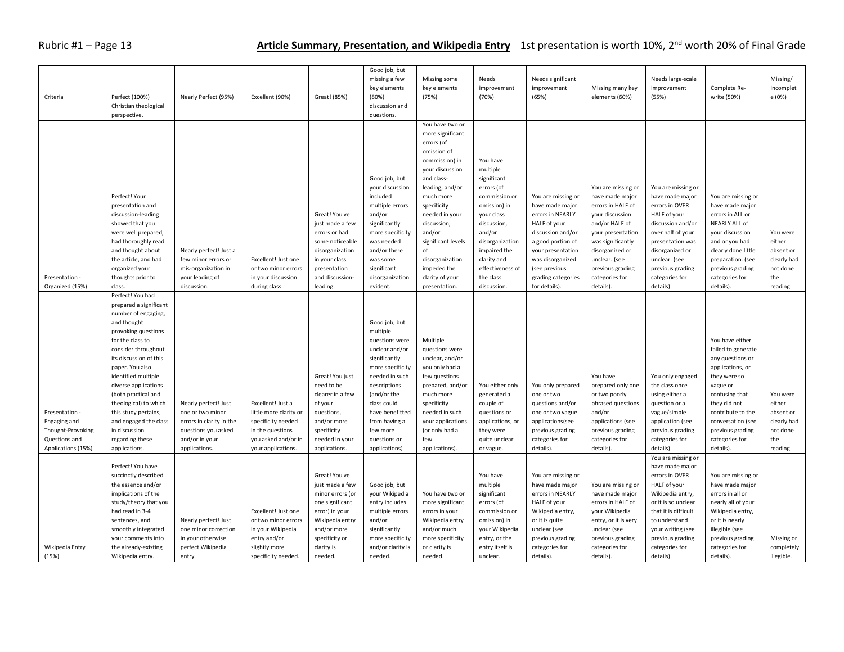## Rubric #1 – Page 13 **Article Summary, Presentation, and Wikipedia Entry** 1st presentation is worth 10%, 2<sup>nd</sup> worth 20% of Final Grade

| Criteria                                                                                                      | Perfect (100%)<br>Christian theological                                                                                                                                                                                                                                                                                                                                                              | Nearly Perfect (95%)                                                                                                           | Excellent (90%)                                                                                                                                     | Great! (85%)                                                                                                                                                           | Good job, but<br>missing a few<br>key elements<br>(80%)<br>discussion and                                                                                                                                                                           | Missing some<br>key elements<br>(75%)                                                                                                                                                                                                                                       | Needs<br>improvement<br>(70%)                                                                                                                                                                   | Needs significant<br>improvement<br>(65%)                                                                                                                                          | Missing many key<br>elements (60%)                                                                                                                                                                | Needs large-scale<br>improvement<br>(55%)                                                                                                                                                                                           | Complete Re-<br>write (50%)                                                                                                                                                                                                                           | Missing/<br>Incomplet<br>e (0%)                                                           |
|---------------------------------------------------------------------------------------------------------------|------------------------------------------------------------------------------------------------------------------------------------------------------------------------------------------------------------------------------------------------------------------------------------------------------------------------------------------------------------------------------------------------------|--------------------------------------------------------------------------------------------------------------------------------|-----------------------------------------------------------------------------------------------------------------------------------------------------|------------------------------------------------------------------------------------------------------------------------------------------------------------------------|-----------------------------------------------------------------------------------------------------------------------------------------------------------------------------------------------------------------------------------------------------|-----------------------------------------------------------------------------------------------------------------------------------------------------------------------------------------------------------------------------------------------------------------------------|-------------------------------------------------------------------------------------------------------------------------------------------------------------------------------------------------|------------------------------------------------------------------------------------------------------------------------------------------------------------------------------------|---------------------------------------------------------------------------------------------------------------------------------------------------------------------------------------------------|-------------------------------------------------------------------------------------------------------------------------------------------------------------------------------------------------------------------------------------|-------------------------------------------------------------------------------------------------------------------------------------------------------------------------------------------------------------------------------------------------------|-------------------------------------------------------------------------------------------|
|                                                                                                               | perspective.                                                                                                                                                                                                                                                                                                                                                                                         |                                                                                                                                |                                                                                                                                                     |                                                                                                                                                                        | questions.                                                                                                                                                                                                                                          |                                                                                                                                                                                                                                                                             |                                                                                                                                                                                                 |                                                                                                                                                                                    |                                                                                                                                                                                                   |                                                                                                                                                                                                                                     |                                                                                                                                                                                                                                                       |                                                                                           |
|                                                                                                               | Perfect! Your<br>presentation and<br>discussion-leading<br>showed that you<br>were well prepared,<br>had thoroughly read<br>and thought about<br>the article, and had<br>organized your                                                                                                                                                                                                              | Nearly perfect! Just a<br>few minor errors or<br>mis-organization in                                                           | Excellent! Just one<br>or two minor errors                                                                                                          | Great! You've<br>just made a few<br>errors or had<br>some noticeable<br>disorganization<br>in your class<br>presentation                                               | Good job, but<br>your discussion<br>included<br>multiple errors<br>and/or<br>significantly<br>more specificity<br>was needed<br>and/or there<br>was some<br>significant                                                                             | You have two or<br>more significant<br>errors (of<br>omission of<br>commission) in<br>your discussion<br>and class-<br>leading, and/or<br>much more<br>specificity<br>needed in your<br>discussion,<br>and/or<br>significant levels<br>of<br>disorganization<br>impeded the | You have<br>multiple<br>significant<br>errors (of<br>commission or<br>omission) in<br>your class<br>discussion,<br>and/or<br>disorganization<br>impaired the<br>clarity and<br>effectiveness of | You are missing or<br>have made major<br>errors in NEARLY<br>HALF of your<br>discussion and/or<br>a good portion of<br>your presentation<br>was disorganized<br>(see previous      | You are missing or<br>have made major<br>errors in HALF of<br>your discussion<br>and/or HALF of<br>your presentation<br>was significantly<br>disorganized or<br>unclear. (see<br>previous grading | You are missing or<br>have made major<br>errors in OVER<br>HALF of your<br>discussion and/or<br>over half of your<br>presentation was<br>disorganized or<br>unclear. (see<br>previous grading                                       | You are missing or<br>have made major<br>errors in ALL or<br>NEARLY ALL of<br>your discussion<br>and or you had<br>clearly done little<br>preparation. (see<br>previous grading                                                                       | You were<br>either<br>absent or<br>clearly had<br>not done                                |
| Presentation -                                                                                                | thoughts prior to<br>class.                                                                                                                                                                                                                                                                                                                                                                          | your leading of<br>discussion.                                                                                                 | in your discussion                                                                                                                                  | and discussion-                                                                                                                                                        | disorganization<br>evident.                                                                                                                                                                                                                         | clarity of your                                                                                                                                                                                                                                                             | the class<br>discussion.                                                                                                                                                                        | grading categories                                                                                                                                                                 | categories for                                                                                                                                                                                    | categories for                                                                                                                                                                                                                      | categories for                                                                                                                                                                                                                                        | the                                                                                       |
| Organized (15%)<br>Presentation -<br>Engaging and<br>Thought-Provoking<br>Questions and<br>Applications (15%) | Perfect! You had<br>prepared a significant<br>number of engaging,<br>and thought<br>provoking questions<br>for the class to<br>consider throughout<br>its discussion of this<br>paper. You also<br>identified multiple<br>diverse applications<br>(both practical and<br>theological) to which<br>this study pertains,<br>and engaged the class<br>in discussion<br>regarding these<br>applications. | Nearly perfect! Just<br>one or two minor<br>errors in clarity in the<br>questions you asked<br>and/or in your<br>applications. | during class.<br>Excellent! Just a<br>little more clarity or<br>specificity needed<br>in the questions<br>you asked and/or in<br>your applications. | leading.<br>Great! You just<br>need to be<br>clearer in a few<br>of your<br>questions,<br>and/or more<br>specificity<br>needed in your<br>applications.                | Good job, but<br>multiple<br>questions were<br>unclear and/or<br>significantly<br>more specificity<br>needed in such<br>descriptions<br>(and/or the<br>class could<br>have benefitted<br>from having a<br>few more<br>questions or<br>applications) | presentation.<br>Multiple<br>questions were<br>unclear, and/or<br>you only had a<br>few questions<br>prepared, and/or<br>much more<br>specificity<br>needed in such<br>your applications<br>(or only had a<br>few<br>applications).                                         | You either only<br>generated a<br>couple of<br>questions or<br>applications, or<br>they were<br>quite unclear<br>or vague.                                                                      | for details).<br>You only prepared<br>one or two<br>questions and/or<br>one or two vague<br>applications(see<br>previous grading<br>categories for<br>details).                    | details).<br>You have<br>prepared only one<br>or two poorly<br>phrased questions<br>and/or<br>applications (see<br>previous grading<br>categories for<br>details).                                | details).<br>You only engaged<br>the class once<br>using either a<br>question or a<br>vague/simple<br>application (see<br>previous grading<br>categories for<br>details).                                                           | details).<br>You have either<br>failed to generate<br>any questions or<br>applications, or<br>they were so<br>vague or<br>confusing that<br>they did not<br>contribute to the<br>conversation (see<br>previous grading<br>categories for<br>details). | reading.<br>You were<br>either<br>absent or<br>clearly had<br>not done<br>the<br>reading. |
| Wikipedia Entry<br>(15%)                                                                                      | Perfect! You have<br>succinctly described<br>the essence and/or<br>implications of the<br>study/theory that you<br>had read in 3-4<br>sentences, and<br>smoothly integrated<br>your comments into<br>the already-existing<br>Wikipedia entry.                                                                                                                                                        | Nearly perfect! Just<br>one minor correction<br>in your otherwise<br>perfect Wikipedia<br>entry.                               | Excellent! Just one<br>or two minor errors<br>in your Wikipedia<br>entry and/or<br>slightly more<br>specificity needed.                             | Great! You've<br>just made a few<br>minor errors (or<br>one significant<br>error) in your<br>Wikipedia entry<br>and/or more<br>specificity or<br>clarity is<br>needed. | Good job, but<br>your Wikipedia<br>entry includes<br>multiple errors<br>and/or<br>significantly<br>more specificity<br>and/or clarity is<br>needed.                                                                                                 | You have two or<br>more significant<br>errors in your<br>Wikipedia entry<br>and/or much<br>more specificity<br>or clarity is<br>needed.                                                                                                                                     | You have<br>multiple<br>significant<br>errors (of<br>commission or<br>omission) in<br>your Wikipedia<br>entry, or the<br>entry itself is<br>unclear.                                            | You are missing or<br>have made major<br>errors in NEARLY<br>HALF of your<br>Wikipedia entry,<br>or it is quite<br>unclear (see<br>previous grading<br>categories for<br>details). | You are missing or<br>have made major<br>errors in HALF of<br>your Wikipedia<br>entry, or it is very<br>unclear (see<br>previous grading<br>categories for<br>details).                           | You are missing or<br>have made major<br>errors in OVER<br>HALF of your<br>Wikipedia entry,<br>or it is so unclear<br>that it is difficult<br>to understand<br>your writing (see<br>previous grading<br>categories for<br>details). | You are missing or<br>have made major<br>errors in all or<br>nearly all of your<br>Wikipedia entry,<br>or it is nearly<br>illegible (see<br>previous grading<br>categories for<br>details).                                                           | Missing or<br>completely<br>illegible.                                                    |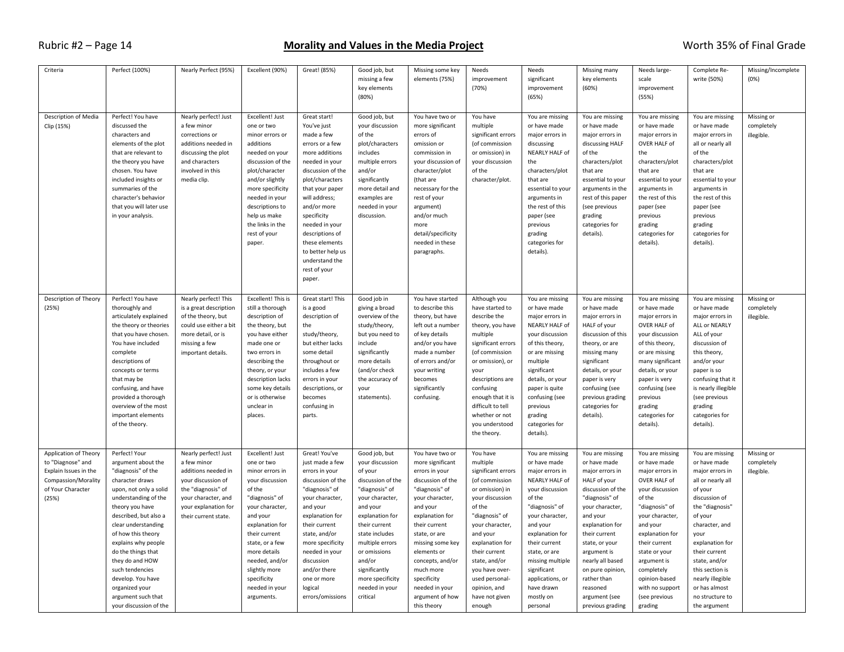#### Rubric #2 – Page 14 **Morality and Values in the Media Project** Worth 35% of Final Grade

| Criteria                                                                                                                 | Perfect (100%)                                                                                                                                                                                                                                                                                                                                                                                    | Nearly Perfect (95%)                                                                                                                                                          | Excellent (90%)                                                                                                                                                                                                                                                                         | Great! (85%)                                                                                                                                                                                                                                                                                                                       | Good job, but<br>missing a few<br>key elements<br>(80%)                                                                                                                                                                                                                                 | Missing some key<br>elements (75%)                                                                                                                                                                                                                                                                                      | Needs<br>improvement<br>(70%)                                                                                                                                                                                                                                                                      | Needs<br>significant<br>improvement<br>(65%)                                                                                                                                                                                                                                                          | Missing many<br>key elements<br>(60%)                                                                                                                                                                                                                                                                                 | Needs large-<br>scale<br>improvement<br>(55%)                                                                                                                                                                                                                                                      | Complete Re-<br>write (50%)                                                                                                                                                                                                                                                                                 | Missing/Incomplete<br>(0%)             |
|--------------------------------------------------------------------------------------------------------------------------|---------------------------------------------------------------------------------------------------------------------------------------------------------------------------------------------------------------------------------------------------------------------------------------------------------------------------------------------------------------------------------------------------|-------------------------------------------------------------------------------------------------------------------------------------------------------------------------------|-----------------------------------------------------------------------------------------------------------------------------------------------------------------------------------------------------------------------------------------------------------------------------------------|------------------------------------------------------------------------------------------------------------------------------------------------------------------------------------------------------------------------------------------------------------------------------------------------------------------------------------|-----------------------------------------------------------------------------------------------------------------------------------------------------------------------------------------------------------------------------------------------------------------------------------------|-------------------------------------------------------------------------------------------------------------------------------------------------------------------------------------------------------------------------------------------------------------------------------------------------------------------------|----------------------------------------------------------------------------------------------------------------------------------------------------------------------------------------------------------------------------------------------------------------------------------------------------|-------------------------------------------------------------------------------------------------------------------------------------------------------------------------------------------------------------------------------------------------------------------------------------------------------|-----------------------------------------------------------------------------------------------------------------------------------------------------------------------------------------------------------------------------------------------------------------------------------------------------------------------|----------------------------------------------------------------------------------------------------------------------------------------------------------------------------------------------------------------------------------------------------------------------------------------------------|-------------------------------------------------------------------------------------------------------------------------------------------------------------------------------------------------------------------------------------------------------------------------------------------------------------|----------------------------------------|
| Description of Media<br>Clip (15%)                                                                                       | Perfect! You have<br>discussed the<br>characters and<br>elements of the plot<br>that are relevant to<br>the theory you have<br>chosen. You have<br>included insights or<br>summaries of the<br>character's behavior<br>that you will later use<br>in your analysis.                                                                                                                               | Nearly perfect! Just<br>a few minor<br>corrections or<br>additions needed in<br>discussing the plot<br>and characters<br>involved in this<br>media clip.                      | Excellent! Just<br>one or two<br>minor errors or<br>additions<br>needed on your<br>discussion of the<br>plot/character<br>and/or slightly<br>more specificity<br>needed in your<br>descriptions to<br>help us make<br>the links in the<br>rest of your<br>paper.                        | Great start!<br>You've just<br>made a few<br>errors or a few<br>more additions<br>needed in your<br>discussion of the<br>plot/characters<br>that your paper<br>will address;<br>and/or more<br>specificity<br>needed in your<br>descriptions of<br>these elements<br>to better help us<br>understand the<br>rest of your<br>paper. | Good job, but<br>your discussion<br>of the<br>plot/characters<br>includes<br>multiple errors<br>and/or<br>significantly<br>more detail and<br>examples are<br>needed in your<br>discussion.                                                                                             | You have two or<br>more significant<br>errors of<br>omission or<br>commission in<br>your discussion of<br>character/plot<br>(that are<br>necessary for the<br>rest of your<br>argument)<br>and/or much<br>more<br>detail/specificity<br>needed in these<br>paragraphs.                                                  | You have<br>multiple<br>significant errors<br>(of commission<br>or omission) in<br>your discussion<br>of the<br>character/plot.                                                                                                                                                                    | You are missing<br>or have made<br>major errors in<br>discussing<br>NEARLY HALF of<br>the<br>characters/plot<br>that are<br>essential to your<br>arguments in<br>the rest of this<br>paper (see<br>previous<br>grading<br>categories for<br>details).                                                 | You are missing<br>or have made<br>major errors in<br>discussing HALF<br>of the<br>characters/plot<br>that are<br>essential to your<br>arguments in the<br>rest of this paper<br>(see previous<br>grading<br>categories for<br>details).                                                                              | You are missing<br>or have made<br>major errors in<br>OVER HALF of<br>the<br>characters/plot<br>that are<br>essential to your<br>arguments in<br>the rest of this<br>paper (see<br>previous<br>grading<br>categories for<br>details).                                                              | You are missing<br>or have made<br>major errors in<br>all or nearly all<br>of the<br>characters/plot<br>that are<br>essential to your<br>arguments in<br>the rest of this<br>paper (see<br>previous<br>grading<br>categories for<br>details).                                                               | Missing or<br>completely<br>illegible. |
| Description of Theory<br>(25%)                                                                                           | Perfect! You have<br>thoroughly and<br>articulately explained<br>the theory or theories<br>that you have chosen.<br>You have included<br>complete<br>descriptions of<br>concepts or terms<br>that may be<br>confusing, and have<br>provided a thorough<br>overview of the most<br>important elements<br>of the theory.                                                                            | Nearly perfect! This<br>is a great description<br>of the theory, but<br>could use either a bit<br>more detail, or is<br>missing a few<br>important details.                   | Excellent! This is<br>still a thorough<br>description of<br>the theory, but<br>you have either<br>made one or<br>two errors in<br>describing the<br>theory, or your<br>description lacks<br>some key details<br>or is otherwise<br>unclear in<br>places.                                | Great start! This<br>is a good<br>description of<br>the<br>study/theory,<br>but either lacks<br>some detail<br>throughout or<br>includes a few<br>errors in your<br>descriptions, or<br>becomes<br>confusing in<br>parts.                                                                                                          | Good job in<br>giving a broad<br>overview of the<br>study/theory,<br>but you need to<br>include<br>significantly<br>more details<br>(and/or check<br>the accuracy of<br>your<br>statements).                                                                                            | You have started<br>to describe this<br>theory, but have<br>left out a number<br>of key details<br>and/or you have<br>made a number<br>of errors and/or<br>your writing<br>becomes<br>significantly<br>confusing.                                                                                                       | Although you<br>have started to<br>describe the<br>theory, you have<br>multiple<br>significant errors<br>(of commission<br>or omission), or<br>vour<br>descriptions are<br>confusing<br>enough that it is<br>difficult to tell<br>whether or not<br>you understood<br>the theory.                  | You are missing<br>or have made<br>major errors in<br>NEARLY HALF of<br>your discussion<br>of this theory,<br>or are missing<br>multiple<br>significant<br>details, or your<br>paper is quite<br>confusing (see<br>previous<br>grading<br>categories for<br>details).                                 | You are missing<br>or have made<br>major errors in<br>HALF of your<br>discussion of this<br>theory, or are<br>missing many<br>significant<br>details, or your<br>paper is very<br>confusing (see<br>previous grading<br>categories for<br>details).                                                                   | You are missing<br>or have made<br>major errors in<br>OVER HALF of<br>your discussion<br>of this theory,<br>or are missing<br>many significant<br>details, or your<br>paper is very<br>confusing (see<br>previous<br>grading<br>categories for<br>details).                                        | You are missing<br>or have made<br>major errors in<br>ALL or NEARLY<br>ALL of your<br>discussion of<br>this theory,<br>and/or your<br>paper is so<br>confusing that it<br>is nearly illegible<br>(see previous<br>grading<br>categories for<br>details).                                                    | Missing or<br>completely<br>illegible. |
| Application of Theory<br>to "Diagnose" and<br>Explain Issues in the<br>Compassion/Morality<br>of Your Character<br>(25%) | Perfect! Your<br>argument about the<br>"diagnosis" of the<br>character draws<br>upon, not only a solid<br>understanding of the<br>theory you have<br>described, but also a<br>clear understanding<br>of how this theory<br>explains why people<br>do the things that<br>they do and HOW<br>such tendencies<br>develop. You have<br>organized your<br>argument such that<br>your discussion of the | Nearly perfect! Just<br>a few minor<br>additions needed in<br>your discussion of<br>the "diagnosis" of<br>your character, and<br>your explanation for<br>their current state. | Excellent! Just<br>one or two<br>minor errors in<br>your discussion<br>of the<br>"diagnosis" of<br>your character,<br>and your<br>explanation for<br>their current<br>state, or a few<br>more details<br>needed, and/or<br>slightly more<br>specificity<br>needed in your<br>arguments. | Great! You've<br>just made a few<br>errors in your<br>discussion of the<br>"diagnosis" of<br>your character,<br>and your<br>explanation for<br>their current<br>state, and/or<br>more specificity<br>needed in your<br>discussion<br>and/or there<br>one or more<br>logical<br>errors/omissions                                    | Good job, but<br>your discussion<br>of your<br>discussion of the<br>"diagnosis" of<br>your character,<br>and your<br>explanation for<br>their current<br>state includes<br>multiple errors<br>or omissions<br>and/or<br>significantly<br>more specificity<br>needed in your<br>critical | You have two or<br>more significant<br>errors in your<br>discussion of the<br>"diagnosis" of<br>your character,<br>and your<br>explanation for<br>their current<br>state, or are<br>missing some key<br>elements or<br>concepts, and/or<br>much more<br>specificity<br>needed in your<br>argument of how<br>this theory | You have<br>multiple<br>significant errors<br>(of commission<br>or omission) in<br>your discussion<br>of the<br>"diagnosis" of<br>your character,<br>and your<br>explanation for<br>their current<br>state, and/or<br>you have over-<br>used personal-<br>opinion, and<br>have not given<br>enough | You are missing<br>or have made<br>major errors in<br>NEARLY HALF of<br>your discussion<br>of the<br>"diagnosis" of<br>your character,<br>and your<br>explanation for<br>their current<br>state, or are<br>missing multiple<br>significant<br>applications, or<br>have drawn<br>mostly on<br>personal | You are missing<br>or have made<br>major errors in<br>HALF of your<br>discussion of the<br>"diagnosis" of<br>your character,<br>and your<br>explanation for<br>their current<br>state, or your<br>argument is<br>nearly all based<br>on pure opinion,<br>rather than<br>reasoned<br>argument (see<br>previous grading | You are missing<br>or have made<br>major errors in<br>OVER HALF of<br>your discussion<br>of the<br>"diagnosis" of<br>your character,<br>and your<br>explanation for<br>their current<br>state or your<br>argument is<br>completely<br>opinion-based<br>with no support<br>(see previous<br>grading | You are missing<br>or have made<br>major errors in<br>all or nearly all<br>of your<br>discussion of<br>the "diagnosis"<br>of your<br>character, and<br>your<br>explanation for<br>their current<br>state, and/or<br>this section is<br>nearly illegible<br>or has almost<br>no structure to<br>the argument | Missing or<br>completely<br>illegible. |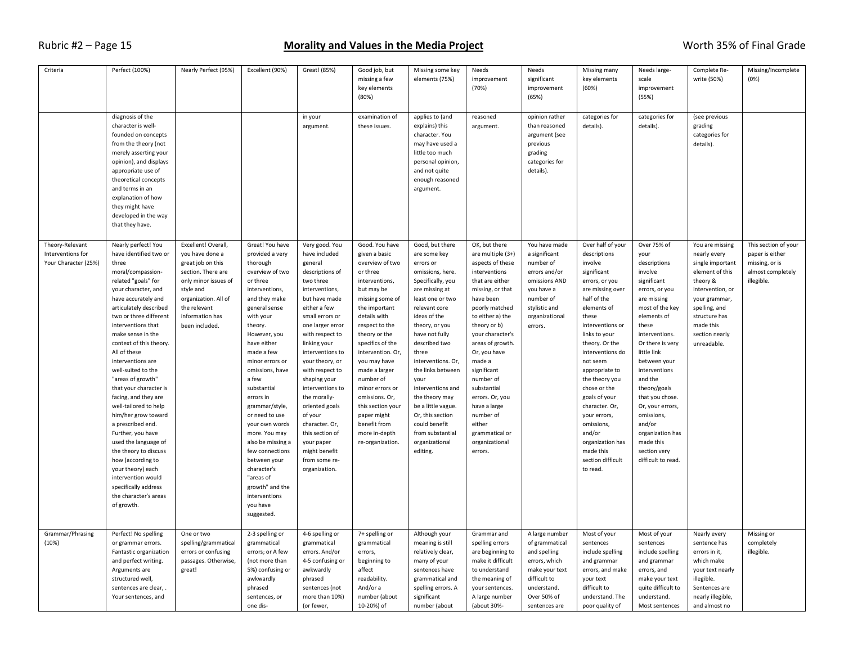| Criteria                                                     | Perfect (100%)                                                                                                                                                                                                                                                                                                                                                                                                                                                                                                                                                                                                                                                                         | Nearly Perfect (95%)                                                                                                                                                                                | Excellent (90%)                                                                                                                                                                                                                                                                                                                                                                                                                                                                                            | Great! (85%)                                                                                                                                                                                                                                                                                                                                                                                                                                             | Good job, but<br>missing a few<br>key elements<br>(80%)                                                                                                                                                                                                                                                                                                                                                    | Missing some key<br>elements (75%)                                                                                                                                                                                                                                                                                                                                                                                                | Needs<br>improvement<br>(70%)                                                                                                                                                                                                                                                                                                                                                                             | Needs<br>significant<br>improvement<br>(65%)                                                                                                           | Missing many<br>key elements<br>(60%)                                                                                                                                                                                                                                                                                                                                                                                            | Needs large-<br>scale<br>improvement<br>(55%)                                                                                                                                                                                                                                                                                                                                                    | Complete Re-<br>write (50%)                                                                                                                                                                             | Missing/Incomplete<br>(0%)                                                                   |
|--------------------------------------------------------------|----------------------------------------------------------------------------------------------------------------------------------------------------------------------------------------------------------------------------------------------------------------------------------------------------------------------------------------------------------------------------------------------------------------------------------------------------------------------------------------------------------------------------------------------------------------------------------------------------------------------------------------------------------------------------------------|-----------------------------------------------------------------------------------------------------------------------------------------------------------------------------------------------------|------------------------------------------------------------------------------------------------------------------------------------------------------------------------------------------------------------------------------------------------------------------------------------------------------------------------------------------------------------------------------------------------------------------------------------------------------------------------------------------------------------|----------------------------------------------------------------------------------------------------------------------------------------------------------------------------------------------------------------------------------------------------------------------------------------------------------------------------------------------------------------------------------------------------------------------------------------------------------|------------------------------------------------------------------------------------------------------------------------------------------------------------------------------------------------------------------------------------------------------------------------------------------------------------------------------------------------------------------------------------------------------------|-----------------------------------------------------------------------------------------------------------------------------------------------------------------------------------------------------------------------------------------------------------------------------------------------------------------------------------------------------------------------------------------------------------------------------------|-----------------------------------------------------------------------------------------------------------------------------------------------------------------------------------------------------------------------------------------------------------------------------------------------------------------------------------------------------------------------------------------------------------|--------------------------------------------------------------------------------------------------------------------------------------------------------|----------------------------------------------------------------------------------------------------------------------------------------------------------------------------------------------------------------------------------------------------------------------------------------------------------------------------------------------------------------------------------------------------------------------------------|--------------------------------------------------------------------------------------------------------------------------------------------------------------------------------------------------------------------------------------------------------------------------------------------------------------------------------------------------------------------------------------------------|---------------------------------------------------------------------------------------------------------------------------------------------------------------------------------------------------------|----------------------------------------------------------------------------------------------|
|                                                              | diagnosis of the<br>character is well-<br>founded on concepts<br>from the theory (not<br>merely asserting your<br>opinion), and displays<br>appropriate use of<br>theoretical concepts<br>and terms in an<br>explanation of how<br>they might have<br>developed in the way<br>that they have.                                                                                                                                                                                                                                                                                                                                                                                          |                                                                                                                                                                                                     |                                                                                                                                                                                                                                                                                                                                                                                                                                                                                                            | in your<br>argument.                                                                                                                                                                                                                                                                                                                                                                                                                                     | examination of<br>these issues.                                                                                                                                                                                                                                                                                                                                                                            | applies to (and<br>explains) this<br>character. You<br>may have used a<br>little too much<br>personal opinion,<br>and not quite<br>enough reasoned<br>argument.                                                                                                                                                                                                                                                                   | reasoned<br>argument.                                                                                                                                                                                                                                                                                                                                                                                     | opinion rather<br>than reasoned<br>argument (see<br>previous<br>grading<br>categories for<br>details).                                                 | categories for<br>details).                                                                                                                                                                                                                                                                                                                                                                                                      | categories for<br>details).                                                                                                                                                                                                                                                                                                                                                                      | (see previous<br>grading<br>categories for<br>details).                                                                                                                                                 |                                                                                              |
| Theory-Relevant<br>Interventions for<br>Your Character (25%) | Nearly perfect! You<br>have identified two or<br>three<br>moral/compassion-<br>related "goals" for<br>your character, and<br>have accurately and<br>articulately described<br>two or three different<br>interventions that<br>make sense in the<br>context of this theory.<br>All of these<br>interventions are<br>well-suited to the<br>"areas of growth"<br>that your character is<br>facing, and they are<br>well-tailored to help<br>him/her grow toward<br>a prescribed end.<br>Further, you have<br>used the language of<br>the theory to discuss<br>how (according to<br>your theory) each<br>intervention would<br>specifically address<br>the character's areas<br>of growth. | Excellent! Overall,<br>you have done a<br>great job on this<br>section. There are<br>only minor issues of<br>style and<br>organization. All of<br>the relevant<br>information has<br>been included. | Great! You have<br>provided a very<br>thorough<br>overview of two<br>or three<br>interventions,<br>and they make<br>general sense<br>with your<br>theory.<br>However, you<br>have either<br>made a few<br>minor errors or<br>omissions, have<br>a few<br>substantial<br>errors in<br>grammar/style,<br>or need to use<br>your own words<br>more. You may<br>also be missing a<br>few connections<br>between your<br>character's<br>"areas of<br>growth" and the<br>interventions<br>you have<br>suggested. | Very good. You<br>have included<br>general<br>descriptions of<br>two three<br>interventions,<br>but have made<br>either a few<br>small errors or<br>one larger error<br>with respect to<br>linking your<br>interventions to<br>your theory, or<br>with respect to<br>shaping your<br>interventions to<br>the morally-<br>oriented goals<br>of your<br>character. Or,<br>this section of<br>your paper<br>might benefit<br>from some re-<br>organization. | Good. You have<br>given a basic<br>overview of two<br>or three<br>interventions,<br>but may be<br>missing some of<br>the important<br>details with<br>respect to the<br>theory or the<br>specifics of the<br>intervention. Or,<br>you may have<br>made a larger<br>number of<br>minor errors or<br>omissions. Or,<br>this section your<br>paper might<br>benefit from<br>more in-depth<br>re-organization. | Good, but there<br>are some key<br>errors or<br>omissions, here.<br>Specifically, you<br>are missing at<br>least one or two<br>relevant core<br>ideas of the<br>theory, or you<br>have not fully<br>described two<br>three<br>interventions. Or,<br>the links between<br>your<br>interventions and<br>the theory may<br>be a little vague.<br>Or, this section<br>could benefit<br>from substantial<br>organizational<br>editing. | OK, but there<br>are multiple $(3+)$<br>aspects of these<br>interventions<br>that are either<br>missing, or that<br>have been<br>poorly matched<br>to either a) the<br>theory or b)<br>your character's<br>areas of growth.<br>Or, you have<br>made a<br>significant<br>number of<br>substantial<br>errors. Or, you<br>have a large<br>number of<br>either<br>grammatical or<br>organizational<br>errors. | You have made<br>a significant<br>number of<br>errors and/or<br>omissions AND<br>you have a<br>number of<br>stylistic and<br>organizational<br>errors. | Over half of your<br>descriptions<br>involve<br>significant<br>errors, or you<br>are missing over<br>half of the<br>elements of<br>these<br>interventions or<br>links to your<br>theory. Or the<br>interventions do<br>not seem<br>appropriate to<br>the theory you<br>chose or the<br>goals of your<br>character. Or,<br>your errors,<br>omissions,<br>and/or<br>organization has<br>made this<br>section difficult<br>to read. | Over 75% of<br>your<br>descriptions<br>involve<br>significant<br>errors, or you<br>are missing<br>most of the key<br>elements of<br>these<br>interventions.<br>Or there is very<br>little link<br>between your<br>interventions<br>and the<br>theory/goals<br>that you chose.<br>Or, your errors,<br>omissions,<br>and/or<br>organization has<br>made this<br>section very<br>difficult to read. | You are missing<br>nearly every<br>single important<br>element of this<br>theory &<br>intervention, or<br>your grammar,<br>spelling, and<br>structure has<br>made this<br>section nearly<br>unreadable. | This section of your<br>paper is either<br>missing, or is<br>almost completely<br>illegible. |
| Grammar/Phrasing<br>(10%)                                    | Perfect! No spelling<br>or grammar errors.<br>Fantastic organization<br>and perfect writing.<br>Arguments are<br>structured well,<br>sentences are clear,<br>Your sentences, and                                                                                                                                                                                                                                                                                                                                                                                                                                                                                                       | One or two<br>spelling/grammatical<br>errors or confusing<br>passages. Otherwise,<br>great!                                                                                                         | 2-3 spelling or<br>grammatical<br>errors; or A few<br>(not more than<br>5%) confusing or<br>awkwardly<br>phrased<br>sentences, or<br>one dis-                                                                                                                                                                                                                                                                                                                                                              | 4-6 spelling or<br>grammatical<br>errors. And/or<br>4-5 confusing or<br>awkwardly<br>phrased<br>sentences (not<br>more than 10%)<br>(or fewer,                                                                                                                                                                                                                                                                                                           | 7+ spelling or<br>grammatical<br>errors,<br>beginning to<br>affect<br>readability.<br>And/or a<br>number (about<br>10-20%) of                                                                                                                                                                                                                                                                              | Although your<br>meaning is still<br>relatively clear,<br>many of your<br>sentences have<br>grammatical and<br>spelling errors. A<br>significant<br>number (about                                                                                                                                                                                                                                                                 | Grammar and<br>spelling errors<br>are beginning to<br>make it difficult<br>to understand<br>the meaning of<br>your sentences.<br>A large number<br>(about 30%-                                                                                                                                                                                                                                            | A large number<br>of grammatical<br>and spelling<br>errors, which<br>make your text<br>difficult to<br>understand.<br>Over 50% of<br>sentences are     | Most of your<br>sentences<br>include spelling<br>and grammar<br>errors, and make<br>your text<br>difficult to<br>understand. The<br>poor quality of                                                                                                                                                                                                                                                                              | Most of your<br>sentences<br>include spelling<br>and grammar<br>errors, and<br>make your text<br>quite difficult to<br>understand.<br>Most sentences                                                                                                                                                                                                                                             | Nearly every<br>sentence has<br>errors in it,<br>which make<br>your text nearly<br>illegible.<br>Sentences are<br>nearly illegible,<br>and almost no                                                    | Missing or<br>completely<br>illegible.                                                       |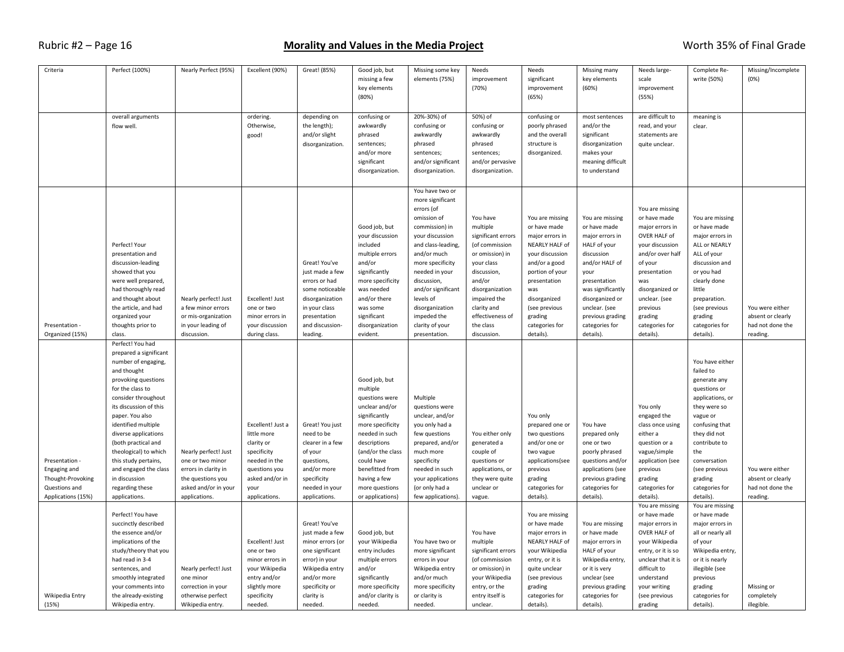| Criteria                                                                                   | Perfect (100%)                                                                                                                                                                                                                                                                                                                                                                                       | Nearly Perfect (95%)                                                                                                           | Excellent (90%)                                                                                                                             | Great! (85%)                                                                                                                                                           | Good job, but<br>missing a few<br>key elements<br>(80%)                                                                                                                                                                                          | Missing some key<br>elements (75%)                                                                                                                                                                                                                                                                       | Needs<br>improvement<br>(70%)                                                                                                                                                                                            | Needs<br>significant<br>improvement<br>(65%)                                                                                                                                                                                  | Missing many<br>key elements<br>(60%)                                                                                                                                                                                                  | Needs large-<br>scale<br>improvement<br>(55%)                                                                                                                                                                                         | Complete Re-<br>write (50%)                                                                                                                                                                                                                       | Missing/Incomplete<br>(0%)                                           |
|--------------------------------------------------------------------------------------------|------------------------------------------------------------------------------------------------------------------------------------------------------------------------------------------------------------------------------------------------------------------------------------------------------------------------------------------------------------------------------------------------------|--------------------------------------------------------------------------------------------------------------------------------|---------------------------------------------------------------------------------------------------------------------------------------------|------------------------------------------------------------------------------------------------------------------------------------------------------------------------|--------------------------------------------------------------------------------------------------------------------------------------------------------------------------------------------------------------------------------------------------|----------------------------------------------------------------------------------------------------------------------------------------------------------------------------------------------------------------------------------------------------------------------------------------------------------|--------------------------------------------------------------------------------------------------------------------------------------------------------------------------------------------------------------------------|-------------------------------------------------------------------------------------------------------------------------------------------------------------------------------------------------------------------------------|----------------------------------------------------------------------------------------------------------------------------------------------------------------------------------------------------------------------------------------|---------------------------------------------------------------------------------------------------------------------------------------------------------------------------------------------------------------------------------------|---------------------------------------------------------------------------------------------------------------------------------------------------------------------------------------------------------------------------------------------------|----------------------------------------------------------------------|
|                                                                                            | overall arguments<br>flow well.                                                                                                                                                                                                                                                                                                                                                                      |                                                                                                                                | ordering.<br>Otherwise,<br>good!                                                                                                            | depending on<br>the length);<br>and/or slight<br>disorganization.                                                                                                      | confusing or<br>awkwardly<br>phrased<br>sentences;<br>and/or more<br>significant<br>disorganization.                                                                                                                                             | 20%-30%) of<br>confusing or<br>awkwardly<br>phrased<br>sentences;<br>and/or significant<br>disorganization.                                                                                                                                                                                              | 50%) of<br>confusing or<br>awkwardly<br>phrased<br>sentences;<br>and/or pervasive<br>disorganization.                                                                                                                    | confusing or<br>poorly phrased<br>and the overall<br>structure is<br>disorganized.                                                                                                                                            | most sentences<br>and/or the<br>significant<br>disorganization<br>makes your<br>meaning difficult<br>to understand                                                                                                                     | are difficult to<br>read, and your<br>statements are<br>quite unclear.                                                                                                                                                                | meaning is<br>clear.                                                                                                                                                                                                                              |                                                                      |
| Presentation -<br>Organized (15%)                                                          | Perfect! Your<br>presentation and<br>discussion-leading<br>showed that you<br>were well prepared,<br>had thoroughly read<br>and thought about<br>the article, and had<br>organized your<br>thoughts prior to<br>class.                                                                                                                                                                               | Nearly perfect! Just<br>a few minor errors<br>or mis-organization<br>in your leading of<br>discussion.                         | Excellent! Just<br>one or two<br>minor errors in<br>your discussion<br>during class.                                                        | Great! You've<br>just made a few<br>errors or had<br>some noticeable<br>disorganization<br>in your class<br>presentation<br>and discussion-<br>leading.                | Good job, but<br>your discussion<br>included<br>multiple errors<br>and/or<br>significantly<br>more specificity<br>was needed<br>and/or there<br>was some<br>significant<br>disorganization<br>evident.                                           | You have two or<br>more significant<br>errors (of<br>omission of<br>commission) in<br>your discussion<br>and class-leading,<br>and/or much<br>more specificity<br>needed in your<br>discussion,<br>and/or significant<br>levels of<br>disorganization<br>impeded the<br>clarity of your<br>presentation. | You have<br>multiple<br>significant errors<br>(of commission<br>or omission) in<br>your class<br>discussion,<br>and/or<br>disorganization<br>impaired the<br>clarity and<br>effectiveness of<br>the class<br>discussion. | You are missing<br>or have made<br>major errors in<br>NEARLY HALF of<br>your discussion<br>and/or a good<br>portion of your<br>presentation<br>was<br>disorganized<br>(see previous<br>grading<br>categories for<br>details). | You are missing<br>or have made<br>major errors in<br>HALF of your<br>discussion<br>and/or HALF of<br>your<br>presentation<br>was significantly<br>disorganized or<br>unclear. (see<br>previous grading<br>categories for<br>details). | You are missing<br>or have made<br>major errors in<br>OVER HALF of<br>your discussion<br>and/or over half<br>of your<br>presentation<br>was<br>disorganized or<br>unclear. (see<br>previous<br>grading<br>categories for<br>details). | You are missing<br>or have made<br>major errors in<br>ALL or NEARLY<br>ALL of your<br>discussion and<br>or you had<br>clearly done<br>little<br>preparation.<br>(see previous<br>grading<br>categories for<br>details).                           | You were either<br>absent or clearly<br>had not done the<br>reading. |
| Presentation -<br>Engaging and<br>Thought-Provoking<br>Questions and<br>Applications (15%) | Perfect! You had<br>prepared a significant<br>number of engaging,<br>and thought<br>provoking questions<br>for the class to<br>consider throughout<br>its discussion of this<br>paper. You also<br>identified multiple<br>diverse applications<br>(both practical and<br>theological) to which<br>this study pertains,<br>and engaged the class<br>in discussion<br>regarding these<br>applications. | Nearly perfect! Just<br>one or two minor<br>errors in clarity in<br>the questions you<br>asked and/or in your<br>applications. | Excellent! Just a<br>little more<br>clarity or<br>specificity<br>needed in the<br>questions you<br>asked and/or in<br>your<br>applications. | Great! You just<br>need to be<br>clearer in a few<br>of your<br>questions,<br>and/or more<br>specificity<br>needed in your<br>applications.                            | Good job, but<br>multiple<br>questions were<br>unclear and/or<br>significantly<br>more specificity<br>needed in such<br>descriptions<br>(and/or the class<br>could have<br>benefitted from<br>having a few<br>more questions<br>or applications) | Multiple<br>questions were<br>unclear, and/or<br>you only had a<br>few questions<br>prepared, and/or<br>much more<br>specificity<br>needed in such<br>your applications<br>(or only had a<br>few applications).                                                                                          | You either only<br>generated a<br>couple of<br>questions or<br>applications, or<br>they were quite<br>unclear or<br>vague.                                                                                               | You only<br>prepared one or<br>two questions<br>and/or one or<br>two vague<br>applications(see<br>previous<br>grading<br>categories for<br>details).                                                                          | You have<br>prepared only<br>one or two<br>poorly phrased<br>questions and/or<br>applications (see<br>previous grading<br>categories for<br>details).                                                                                  | You only<br>engaged the<br>class once using<br>either a<br>question or a<br>vague/simple<br>application (see<br>previous<br>grading<br>categories for<br>details).                                                                    | You have either<br>failed to<br>generate any<br>questions or<br>applications, or<br>they were so<br>vague or<br>confusing that<br>they did not<br>contribute to<br>the<br>conversation<br>(see previous<br>grading<br>categories for<br>details). | You were either<br>absent or clearly<br>had not done the<br>reading. |
| Wikipedia Entry<br>(15%)                                                                   | Perfect! You have<br>succinctly described<br>the essence and/or<br>implications of the<br>study/theory that you<br>had read in 3-4<br>sentences, and<br>smoothly integrated<br>your comments into<br>the already-existing<br>Wikipedia entry.                                                                                                                                                        | Nearly perfect! Just<br>one minor<br>correction in your<br>otherwise perfect<br>Wikipedia entry.                               | Excellent! Just<br>one or two<br>minor errors in<br>your Wikipedia<br>entry and/or<br>slightly more<br>specificity<br>needed.               | Great! You've<br>just made a few<br>minor errors (or<br>one significant<br>error) in your<br>Wikipedia entry<br>and/or more<br>specificity or<br>clarity is<br>needed. | Good job, but<br>your Wikipedia<br>entry includes<br>multiple errors<br>and/or<br>significantly<br>more specificity<br>and/or clarity is<br>needed.                                                                                              | You have two or<br>more significant<br>errors in your<br>Wikipedia entry<br>and/or much<br>more specificity<br>or clarity is<br>needed.                                                                                                                                                                  | You have<br>multiple<br>significant errors<br>(of commission<br>or omission) in<br>your Wikipedia<br>entry, or the<br>entry itself is<br>unclear.                                                                        | You are missing<br>or have made<br>major errors in<br>NEARLY HALF of<br>your Wikipedia<br>entry, or it is<br>quite unclear<br>(see previous<br>grading<br>categories for<br>details).                                         | You are missing<br>or have made<br>major errors in<br>HALF of your<br>Wikipedia entry,<br>or it is very<br>unclear (see<br>previous grading<br>categories for<br>details).                                                             | You are missing<br>or have made<br>major errors in<br>OVER HALF of<br>your Wikipedia<br>entry, or it is so<br>unclear that it is<br>difficult to<br>understand<br>your writing<br>(see previous<br>grading                            | You are missing<br>or have made<br>major errors in<br>all or nearly all<br>of your<br>Wikipedia entry,<br>or it is nearly<br>illegible (see<br>previous<br>grading<br>categories for<br>details).                                                 | Missing or<br>completely<br>illegible.                               |